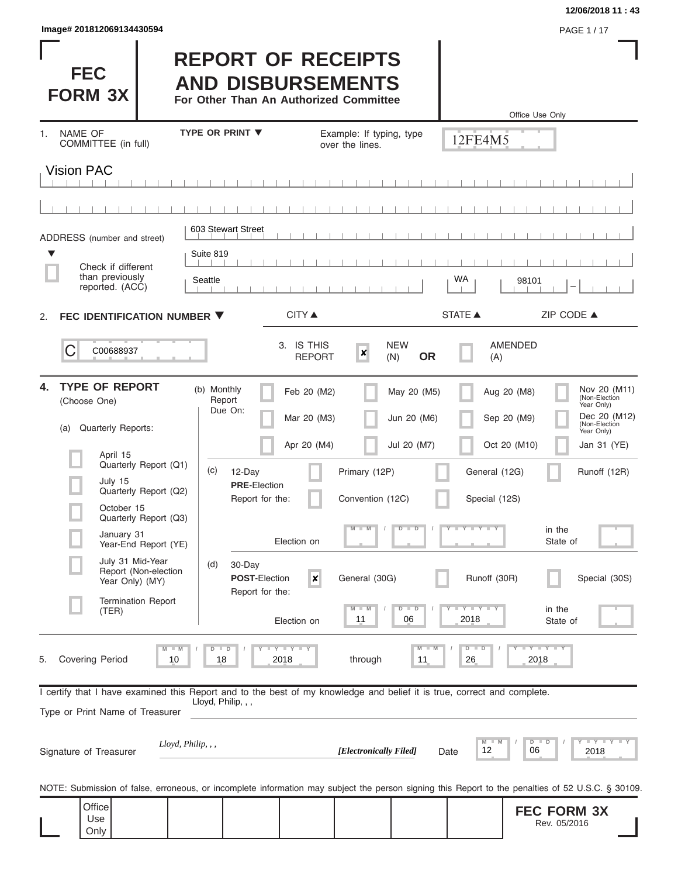| Image# 201812069134430594 | <b>PAGE 1/17</b> |
|---------------------------|------------------|
|---------------------------|------------------|

Г

## **12/06/2018 11 : 43**

| <b>FEC</b><br><b>FORM 3X</b>                                             |                                                                         | <b>REPORT OF RECEIPTS</b><br><b>AND DISBURSEMENTS</b><br>For Other Than An Authorized Committee                                                   |                                             |                                |                                | Office Use Only                    |                                                                                            |
|--------------------------------------------------------------------------|-------------------------------------------------------------------------|---------------------------------------------------------------------------------------------------------------------------------------------------|---------------------------------------------|--------------------------------|--------------------------------|------------------------------------|--------------------------------------------------------------------------------------------|
| <b>NAME OF</b><br>1.<br>COMMITTEE (in full)                              |                                                                         | <b>TYPE OR PRINT ▼</b>                                                                                                                            | Example: If typing, type<br>over the lines. |                                | 12FE4M5                        |                                    |                                                                                            |
| <b>Vision PAC</b>                                                        |                                                                         |                                                                                                                                                   |                                             |                                |                                |                                    |                                                                                            |
|                                                                          |                                                                         |                                                                                                                                                   |                                             |                                |                                |                                    |                                                                                            |
| ADDRESS (number and street)                                              |                                                                         | 603 Stewart Street                                                                                                                                |                                             |                                |                                |                                    |                                                                                            |
| ▼<br>Check if different<br>than previously<br>reported. (ACC)            | Suite 819<br>Seattle                                                    |                                                                                                                                                   |                                             |                                | WA                             | 98101                              |                                                                                            |
| FEC IDENTIFICATION NUMBER ▼<br>2.                                        |                                                                         | CITY ▲                                                                                                                                            |                                             |                                | <b>STATE ▲</b>                 | ZIP CODE $\triangle$               |                                                                                            |
| C<br>C00688937                                                           |                                                                         | 3. IS THIS                                                                                                                                        | ×<br><b>REPORT</b>                          | <b>NEW</b><br><b>OR</b><br>(N) | (A)                            | <b>AMENDED</b>                     |                                                                                            |
| <b>TYPE OF REPORT</b><br>4.<br>(Choose One)<br>Quarterly Reports:<br>(a) |                                                                         | (b) Monthly<br>Report<br>Due On:                                                                                                                  | Feb 20 (M2)<br>Mar 20 (M3)                  | May 20 (M5)<br>Jun 20 (M6)     |                                | Aug 20 (M8)<br>Sep 20 (M9)         | Nov 20 (M11)<br>(Non-Election<br>Year Only)<br>Dec 20 (M12)<br>(Non-Election<br>Year Only) |
| April 15                                                                 |                                                                         |                                                                                                                                                   | Apr 20 (M4)                                 | Jul 20 (M7)                    |                                | Oct 20 (M10)                       | Jan 31 (YE)                                                                                |
| July 15<br>October 15                                                    | Quarterly Report (Q1)<br>Quarterly Report (Q2)<br>Quarterly Report (Q3) | (c)<br>12-Day<br><b>PRE</b> Election<br>Report for the:                                                                                           | Primary (12P)<br>Convention (12C)           |                                | General (12G)<br>Special (12S) |                                    | Runoff (12R)                                                                               |
| January 31                                                               | Year-End Report (YE)                                                    | Election on                                                                                                                                       | $M - M$                                     | $D$ $D$                        | Y FY FY FY                     | in the<br>State of                 |                                                                                            |
| July 31 Mid-Year<br>Year Only) (MY)                                      | Report (Non-election                                                    | 30-Day<br>(d)<br><b>POST-Election</b><br>Report for the:                                                                                          | General (30G)<br>$\boldsymbol{x}$           |                                | Runoff (30R)                   |                                    | Special (30S)                                                                              |
| (TER)                                                                    | <b>Termination Report</b>                                               | Election on                                                                                                                                       | $M - M$<br>11                               | $D$ $D$<br>06                  | $-Y - Y - Y$<br>2018           | in the<br>State of                 |                                                                                            |
| <b>Covering Period</b><br>5.                                             | $M - M$<br>10                                                           | $I - Y - I - Y - I - Y$<br>$D$ $D$<br>18<br>2018                                                                                                  | through                                     | $M - M$<br>11                  | $D$ $D$<br>26                  | Y FY FY FY<br>2018                 |                                                                                            |
| Type or Print Name of Treasurer                                          |                                                                         | I certify that I have examined this Report and to the best of my knowledge and belief it is true, correct and complete.<br>Lloyd, Philip, , ,     |                                             |                                |                                |                                    |                                                                                            |
| Signature of Treasurer                                                   | Lloyd, Philip, , ,                                                      |                                                                                                                                                   | [Electronically Filed]                      |                                | $M$ M<br>12<br>Date            | $D$ $D$<br>06                      | Y FY FY FY<br>2018                                                                         |
|                                                                          |                                                                         | NOTE: Submission of false, erroneous, or incomplete information may subject the person signing this Report to the penalties of 52 U.S.C. § 30109. |                                             |                                |                                |                                    |                                                                                            |
| Office<br>Use<br>Only                                                    |                                                                         |                                                                                                                                                   |                                             |                                |                                | <b>FEC FORM 3X</b><br>Rev. 05/2016 |                                                                                            |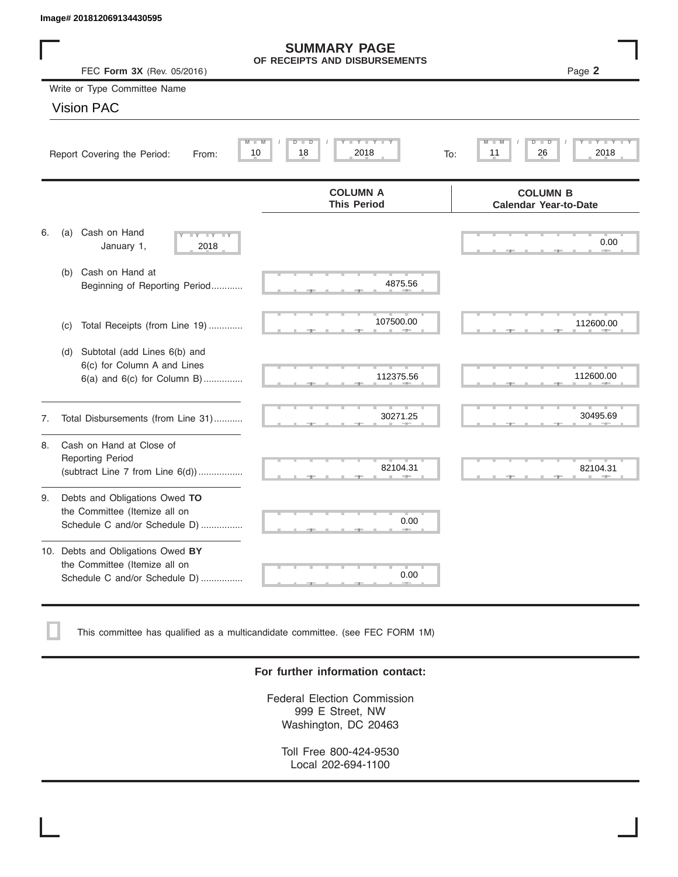|    | Image# 201812069134430595                                                                           |                                                      |                                                 |
|----|-----------------------------------------------------------------------------------------------------|------------------------------------------------------|-------------------------------------------------|
|    | FEC Form 3X (Rev. 05/2016)                                                                          | <b>SUMMARY PAGE</b><br>OF RECEIPTS AND DISBURSEMENTS | Page 2                                          |
|    | Write or Type Committee Name                                                                        |                                                      |                                                 |
|    | <b>Vision PAC</b>                                                                                   |                                                      |                                                 |
|    | Report Covering the Period:<br>From:                                                                | Y LY L<br>$M - M$<br>$D$ $D$<br>2018<br>10<br>18     | D<br>D<br>2018<br>11<br>26<br>To:               |
|    |                                                                                                     | <b>COLUMN A</b><br><b>This Period</b>                | <b>COLUMN B</b><br><b>Calendar Year-to-Date</b> |
| 6. | Cash on Hand<br>(a)<br>$-Y - Y - Y$<br>January 1,<br>2018                                           |                                                      | 0.00                                            |
|    | Cash on Hand at<br>(b)<br>Beginning of Reporting Period                                             | 4875.56                                              |                                                 |
|    | Total Receipts (from Line 19)<br>(c)                                                                | 107500.00                                            | 112600.00                                       |
|    | Subtotal (add Lines 6(b) and<br>(d)<br>6(c) for Column A and Lines<br>6(a) and 6(c) for Column B)   | 112375.56                                            | 112600.00                                       |
| 7. | Total Disbursements (from Line 31)                                                                  | 30271.25                                             | 30495.69                                        |
| 8. | Cash on Hand at Close of<br><b>Reporting Period</b><br>(subtract Line $7$ from Line $6(d)$ )        | 82104.31                                             | 82104.31                                        |
| 9. | Debts and Obligations Owed TO<br>the Committee (Itemize all on<br>Schedule C and/or Schedule D)     | 0.00                                                 |                                                 |
|    | 10. Debts and Obligations Owed BY<br>the Committee (Itemize all on<br>Schedule C and/or Schedule D) | T.<br>0.00                                           |                                                 |

This committee has qualified as a multicandidate committee. (see FEC FORM 1M)

# **For further information contact:**

Federal Election Commission 999 E Street, NW Washington, DC 20463

Toll Free 800-424-9530 Local 202-694-1100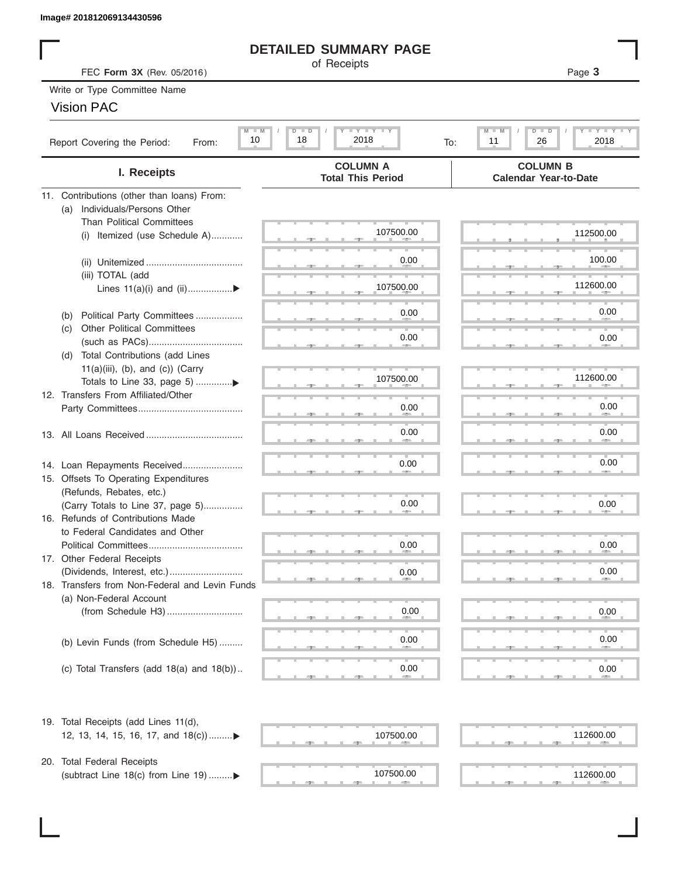# **DETAILED SUMMARY PAGE**

# Vision PAC

| Image# 201812069134430596                                             |                                                                                                               |                                                                   |
|-----------------------------------------------------------------------|---------------------------------------------------------------------------------------------------------------|-------------------------------------------------------------------|
|                                                                       | <b>DETAILED SUMMARY PAGE</b>                                                                                  |                                                                   |
| FEC Form 3X (Rev. 05/2016)                                            | of Receipts                                                                                                   | Page 3                                                            |
| Write or Type Committee Name                                          |                                                                                                               |                                                                   |
| <b>Vision PAC</b>                                                     |                                                                                                               |                                                                   |
|                                                                       |                                                                                                               |                                                                   |
| $M$ $M$<br>10<br>Report Covering the Period:<br>From:                 | $\mathbf{I}$ $\mathbf{Y}$ $\mathbf{I}$ $\mathbf{Y}$ $\mathbf{I}$ $\mathbf{Y}$<br>$D$ $D$<br>18<br>2018<br>To: | $M$ $M$<br>$D$ $D$<br>$T - Y$ $T - Y$ $T - Y$<br>26<br>2018<br>11 |
| I. Receipts                                                           | <b>COLUMN A</b><br><b>Total This Period</b>                                                                   | <b>COLUMN B</b><br><b>Calendar Year-to-Date</b>                   |
| 11. Contributions (other than loans) From:                            |                                                                                                               |                                                                   |
| Individuals/Persons Other<br>(a)                                      |                                                                                                               |                                                                   |
| <b>Than Political Committees</b>                                      |                                                                                                               |                                                                   |
| Itemized (use Schedule A)<br>(i)                                      | 107500.00                                                                                                     | 112500.00                                                         |
|                                                                       |                                                                                                               |                                                                   |
|                                                                       | 0.00                                                                                                          | 100.00                                                            |
| (iii) TOTAL (add                                                      | 107500.00                                                                                                     | 112600.00                                                         |
| Lines $11(a)(i)$ and $(ii)$                                           |                                                                                                               |                                                                   |
| Political Party Committees<br>(b)                                     | 0.00                                                                                                          | 0.00                                                              |
| <b>Other Political Committees</b><br>(C)                              |                                                                                                               |                                                                   |
|                                                                       | 0.00                                                                                                          | 0.00                                                              |
| (d) Total Contributions (add Lines                                    |                                                                                                               |                                                                   |
| $11(a)(iii)$ , (b), and (c)) (Carry                                   |                                                                                                               |                                                                   |
|                                                                       | 107500.00                                                                                                     | 112600.00                                                         |
| 12. Transfers From Affiliated/Other                                   |                                                                                                               |                                                                   |
|                                                                       | 0.00                                                                                                          | 0.00                                                              |
|                                                                       | 0.00                                                                                                          | 0.00                                                              |
|                                                                       |                                                                                                               |                                                                   |
|                                                                       | 0.00                                                                                                          | 0.00                                                              |
| 14. Loan Repayments Received<br>15. Offsets To Operating Expenditures |                                                                                                               |                                                                   |
| (Refunds, Rebates, etc.)                                              |                                                                                                               |                                                                   |
| (Carry Totals to Line 37, page 5)                                     | 0.00                                                                                                          | 0.00                                                              |
| 16. Refunds of Contributions Made                                     |                                                                                                               |                                                                   |
| to Federal Candidates and Other                                       |                                                                                                               |                                                                   |
| Political Committees                                                  | 0.00                                                                                                          | 0.00                                                              |
| 17. Other Federal Receipts                                            |                                                                                                               |                                                                   |
|                                                                       | 0.00                                                                                                          | 0.00                                                              |
| 18. Transfers from Non-Federal and Levin Funds                        |                                                                                                               |                                                                   |
| (a) Non-Federal Account                                               | 0.00                                                                                                          |                                                                   |
|                                                                       |                                                                                                               | 0.00                                                              |
|                                                                       | 0.00                                                                                                          | 0.00                                                              |
| (b) Levin Funds (from Schedule H5)                                    |                                                                                                               |                                                                   |
| (c) Total Transfers (add $18(a)$ and $18(b)$ )                        | 0.00                                                                                                          | 0.00                                                              |
|                                                                       |                                                                                                               |                                                                   |
| 19. Total Receipts (add Lines 11(d),                                  |                                                                                                               |                                                                   |
| 12, 13, 14, 15, 16, 17, and 18(c))                                    | 107500.00                                                                                                     | 112600.00                                                         |
|                                                                       |                                                                                                               |                                                                   |
| 20. Total Federal Receipts                                            |                                                                                                               |                                                                   |
| (subtract Line 18(c) from Line 19) ▶                                  | 107500.00                                                                                                     | 112600.00                                                         |
|                                                                       |                                                                                                               |                                                                   |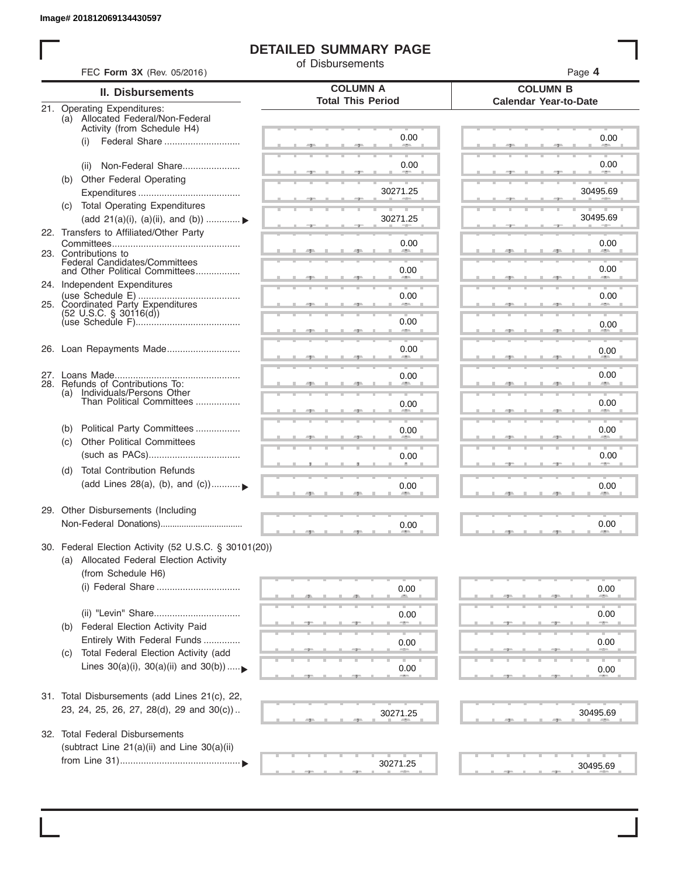I

# **DETAILED SUMMARY PAGE**

of Disbursements

|     | FEC Form 3X (Rev. 05/2016)                                                                      |                                             | Page 4                                          |
|-----|-------------------------------------------------------------------------------------------------|---------------------------------------------|-------------------------------------------------|
|     | <b>II. Disbursements</b>                                                                        | <b>COLUMN A</b><br><b>Total This Period</b> | <b>COLUMN B</b><br><b>Calendar Year-to-Date</b> |
|     | 21. Operating Expenditures:<br>(a) Allocated Federal/Non-Federal<br>Activity (from Schedule H4) |                                             |                                                 |
|     | Federal Share<br>(i)                                                                            | 0.00                                        | 0.00                                            |
|     | Non-Federal Share<br>(ii)                                                                       | 0.00                                        | 0.00                                            |
| (b) | Other Federal Operating                                                                         | 30271.25                                    | 30495.69                                        |
|     | (c) Total Operating Expenditures<br>(add 21(a)(i), (a)(ii), and (b))                            | 30271.25                                    | 30495.69                                        |
|     | 22. Transfers to Affiliated/Other Party                                                         | 0.00                                        | 0.00                                            |
|     | 23. Contributions to<br>Federal Candidates/Committees<br>and Other Political Committees         |                                             | -<br>0.00                                       |
|     | 24. Independent Expenditures                                                                    | 0.00                                        |                                                 |
|     | 25. Coordinated Party Expenditures<br>$(52 \text{ U.S.C. }$ § 30116(d))                         | 0.00                                        | 0.00                                            |
|     |                                                                                                 | 0.00<br>an a                                | 0.00                                            |
|     | 26. Loan Repayments Made                                                                        | 0.00                                        | 0.00                                            |
|     | 28. Refunds of Contributions To:                                                                | 0.00                                        | 0.00                                            |
|     | (a) Individuals/Persons Other<br>Than Political Committees                                      | 0.00                                        | 0.00                                            |
| (b) | Political Party Committees<br><b>Other Political Committees</b>                                 | 0.00                                        | 0.00                                            |
| (C) |                                                                                                 | 0.00                                        | 0.00                                            |
| (d) | <b>Total Contribution Refunds</b><br>(add Lines 28(a), (b), and (c))                            | 0.00                                        | 0.00                                            |
|     | 29. Other Disbursements (Including                                                              | 0.00                                        | 0.00                                            |
|     | 30. Federal Election Activity (52 U.S.C. § 30101(20))                                           |                                             |                                                 |
|     | (a) Allocated Federal Election Activity<br>(from Schedule H6)                                   |                                             |                                                 |
|     | (i) Federal Share                                                                               | 0.00                                        | 0.00                                            |
|     |                                                                                                 | 0.00                                        | 0.00                                            |
| (b) | Federal Election Activity Paid<br>Entirely With Federal Funds                                   | 0.00                                        | 0.00                                            |
| (C) | Total Federal Election Activity (add<br>Lines $30(a)(i)$ , $30(a)(ii)$ and $30(b))$             | 0.00                                        | 0.00                                            |
|     | 31. Total Disbursements (add Lines 21(c), 22,                                                   |                                             |                                                 |
|     | 23, 24, 25, 26, 27, 28(d), 29 and 30(c))                                                        | 30271.25                                    | 30495.69                                        |
|     | 32. Total Federal Disbursements                                                                 |                                             |                                                 |
|     | (subtract Line 21(a)(ii) and Line 30(a)(ii)                                                     | 30271.25                                    |                                                 |
|     |                                                                                                 |                                             | 30495.69                                        |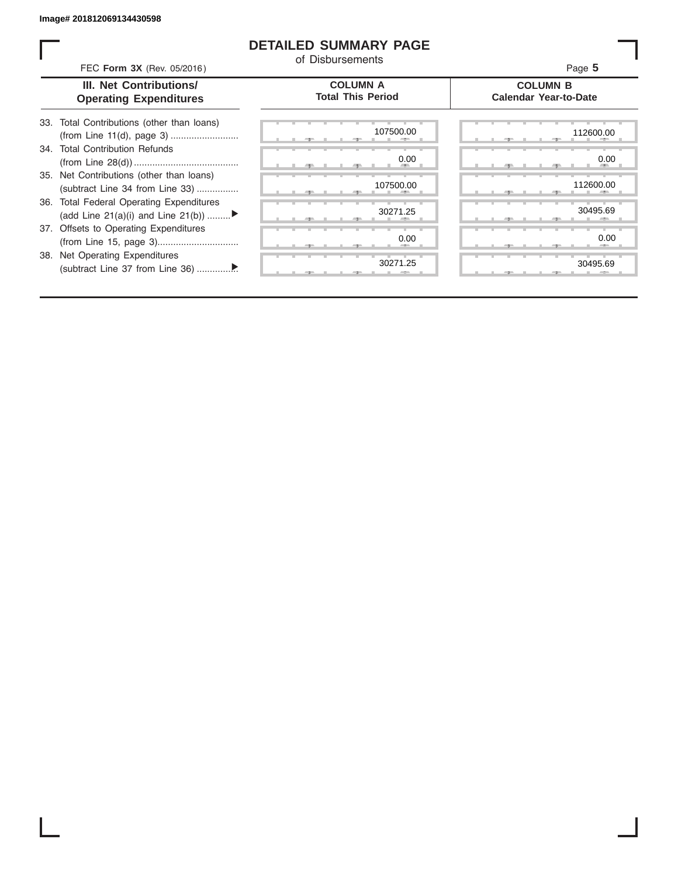# **DETAILED SUMMARY PAGE**

of Disbursements

FEC **Form 3X** (Rev. 05/2016) Page **5**

| <b>III. Net Contributions/</b> |
|--------------------------------|
| <b>Operating Expenditures</b>  |

## **COLUMN A Total This Period**

## **COLUMN B Calendar Year-to-Date**

| 33. Total Contributions (other than loans) |
|--------------------------------------------|
| 34. Total Contribution Refunds             |
|                                            |
| 35. Net Contributions (other than loans)   |
| (subtract Line 34 from Line 33)            |
| 36. Total Federal Operating Expenditures   |
| (add Line 21(a)(i) and Line 21(b))         |
| 37. Offsets to Operating Expenditures      |
|                                            |
| 38. Net Operating Expenditures             |
|                                            |

| 107500.00<br>112600.0 |                 |
|-----------------------|-----------------|
|                       |                 |
| 0.00                  | 0.0             |
| <b>All Street</b>     |                 |
| 112600.0<br>107500.00 |                 |
| л                     |                 |
| 30271.25              | 30495.6         |
| --                    |                 |
| 0.00                  | 0. <sub>C</sub> |
| --                    | --              |
| 30271.25              | 30495.6         |
| -7-<br>- 7 -          |                 |

|       |  | 107500.00                 | 112600.00           |
|-------|--|---------------------------|---------------------|
|       |  | 0.00<br><b>All Street</b> | 0.00<br><b>CALL</b> |
|       |  | 107500.00                 | 112600.00           |
|       |  | 30271.25                  | 30495.69            |
|       |  | 0.00                      | 0.00                |
| $-7-$ |  | 30271.25                  | 30495.69            |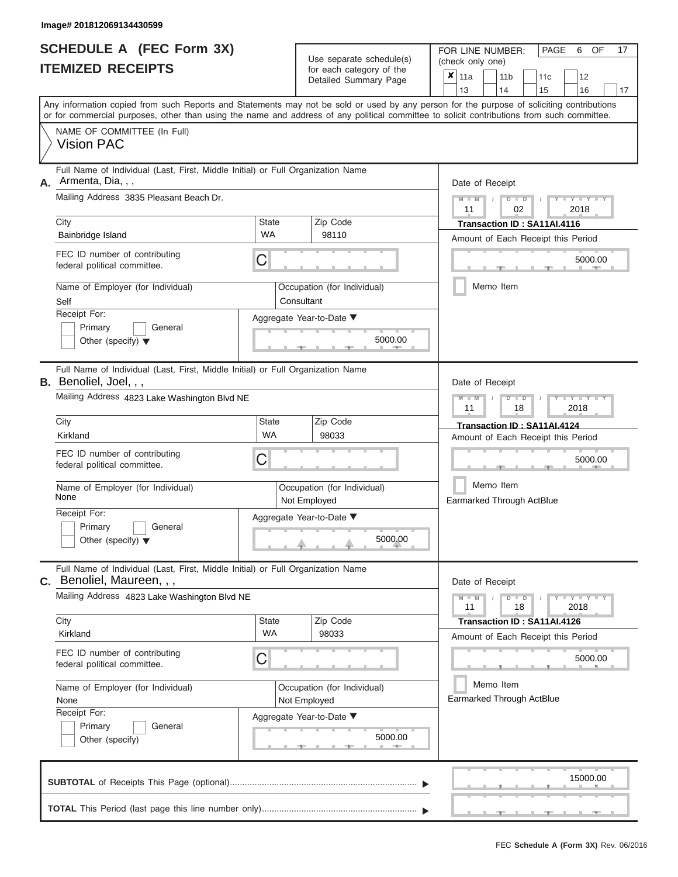|                          | <b>SCHEDULE A (FEC Form 3X)</b> |
|--------------------------|---------------------------------|
| <b>ITEMIZED RECEIPTS</b> |                                 |

Use separate schedule(s) (check only one)<br>for each category of the  $\begin{array}{|c|c|c|c|c|}\n\hline\n\text{Initial Summary goes} & & \text{with } & \text{with } & \text{with } & \text{with } & \text{with } & \text{with } & \text{with } & \text{with } & \text{with } & \text{with } & \text{with } & \text{with } & \text{with } & \text{with } & \text{with } & \text{with } & \text{with } & \text{with } & \text{with } & \text{with } & \text$ 

FOR LINE NUMBER:

PAGE 6 OF 17

| IIEMIZED RECEIPIS                                                                                                                                     | for each category of the<br>Detailed Summary Page | ×<br>11a<br>11 <sub>b</sub><br>12<br>11c<br>13<br>14<br>15<br>16<br>17                                                                                                                                                                                                                  |
|-------------------------------------------------------------------------------------------------------------------------------------------------------|---------------------------------------------------|-----------------------------------------------------------------------------------------------------------------------------------------------------------------------------------------------------------------------------------------------------------------------------------------|
|                                                                                                                                                       |                                                   | Any information copied from such Reports and Statements may not be sold or used by any person for the purpose of soliciting contributions<br>or for commercial purposes, other than using the name and address of any political committee to solicit contributions from such committee. |
| NAME OF COMMITTEE (In Full)<br><b>Vision PAC</b>                                                                                                      |                                                   |                                                                                                                                                                                                                                                                                         |
| Full Name of Individual (Last, First, Middle Initial) or Full Organization Name<br>Armenta, Dia, , ,<br>А.<br>Mailing Address 3835 Pleasant Beach Dr. |                                                   | Date of Receipt<br>$Y - Y - I$<br>D<br>$\overline{D}$                                                                                                                                                                                                                                   |
| City<br>Bainbridge Island                                                                                                                             | <b>State</b><br>Zip Code<br>WA<br>98110           | 2018<br>02<br>11<br>Transaction ID: SA11AI.4116<br>Amount of Each Receipt this Period                                                                                                                                                                                                   |
| FEC ID number of contributing<br>federal political committee.                                                                                         | C                                                 | 5000.00                                                                                                                                                                                                                                                                                 |
| Name of Employer (for Individual)<br>Self                                                                                                             | Occupation (for Individual)<br>Consultant         | Memo Item                                                                                                                                                                                                                                                                               |
| Receipt For:<br>Primary<br>General<br>Other (specify) $\blacktriangledown$                                                                            | Aggregate Year-to-Date ▼<br>5000.00               |                                                                                                                                                                                                                                                                                         |
| Full Name of Individual (Last, First, Middle Initial) or Full Organization Name<br><b>B.</b> Benoliel, Joel, , ,                                      |                                                   | Date of Receipt                                                                                                                                                                                                                                                                         |
| Mailing Address 4823 Lake Washington Blvd NE                                                                                                          |                                                   | Y Y<br>D<br>2018<br>11<br>18                                                                                                                                                                                                                                                            |
| City<br>Kirkland                                                                                                                                      | <b>State</b><br>Zip Code<br><b>WA</b><br>98033    | Transaction ID: SA11AI.4124<br>Amount of Each Receipt this Period                                                                                                                                                                                                                       |
| FEC ID number of contributing<br>federal political committee.                                                                                         | C                                                 | 5000.00                                                                                                                                                                                                                                                                                 |
| Name of Employer (for Individual)<br>None                                                                                                             | Occupation (for Individual)<br>Not Employed       | Memo Item<br>Earmarked Through ActBlue                                                                                                                                                                                                                                                  |
| Receipt For:<br>Primary<br>General<br>Other (specify) $\blacktriangledown$                                                                            | Aggregate Year-to-Date ▼<br>5000.00               |                                                                                                                                                                                                                                                                                         |
| Full Name of Individual (Last, First, Middle Initial) or Full Organization Name<br>C. Benoliel, Maureen,,,                                            |                                                   | Date of Receipt                                                                                                                                                                                                                                                                         |
| Mailing Address 4823 Lake Washington Blvd NE                                                                                                          |                                                   | Y L Y L<br>$\overline{D}$<br>$\Box$<br>11<br>18<br>2018                                                                                                                                                                                                                                 |
| City<br>Kirkland                                                                                                                                      | State<br>Zip Code<br><b>WA</b><br>98033           | Transaction ID: SA11AI.4126<br>Amount of Each Receipt this Period                                                                                                                                                                                                                       |
| FEC ID number of contributing<br>federal political committee.                                                                                         | С                                                 | 5000.00                                                                                                                                                                                                                                                                                 |
| Name of Employer (for Individual)<br>None<br>Receipt For:                                                                                             | Occupation (for Individual)<br>Not Employed       | Memo Item<br>Earmarked Through ActBlue                                                                                                                                                                                                                                                  |
| Primary<br>General<br>Other (specify)                                                                                                                 | Aggregate Year-to-Date ▼<br>5000.00               |                                                                                                                                                                                                                                                                                         |
|                                                                                                                                                       |                                                   | 15000.00                                                                                                                                                                                                                                                                                |
|                                                                                                                                                       |                                                   |                                                                                                                                                                                                                                                                                         |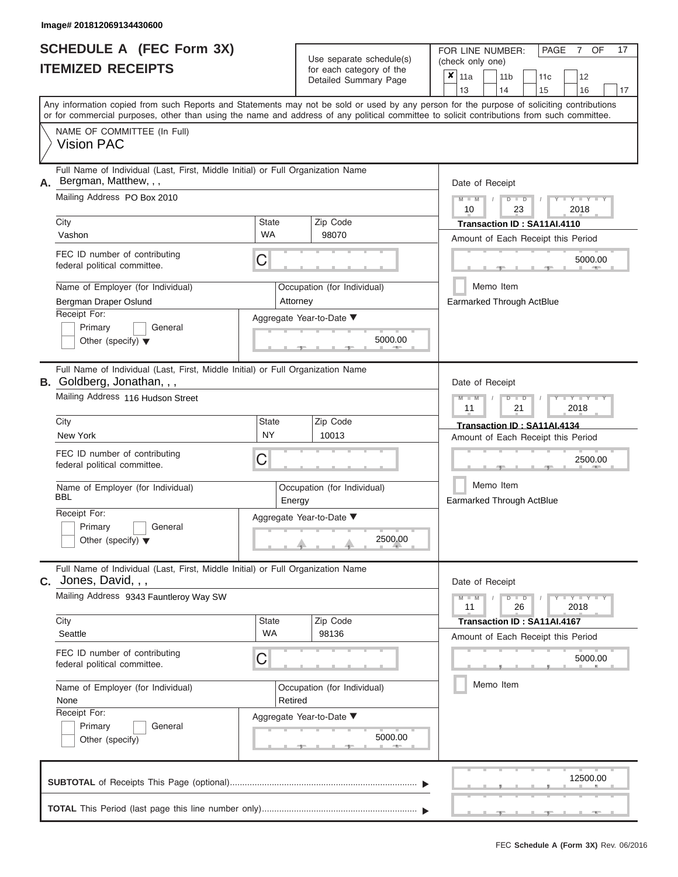| <b>SCHEDULE A (FEC Form 3X)</b> |  |  |
|---------------------------------|--|--|
| <b>ITEMIZED RECEIPTS</b>        |  |  |

Use separate schedule(s) (check only one)<br>for each category of the  $\begin{array}{|c|c|c|c|c|}\n\hline\n\text{Initial Summary goes} & & \text{with } & \text{with } & \text{with } & \text{with } & \text{with } & \text{with } & \text{with } & \text{with } & \text{with } & \text{with } & \text{with } & \text{with } & \text{with } & \text{with } & \text{with } & \text{with } & \text{with } & \text{with } & \text{with } & \text{with } & \text$ 

FOR LINE NUMBER:

PAGE 7 OF 17

| IIEMIZED RECEIPIS                                                                                                    | for each category of the<br>Detailed Summary Page | x<br>11a<br>11 <sub>b</sub><br>12<br>11c<br>13<br>14<br>15<br>16<br>17                                                                                                                                                                                                                  |  |  |
|----------------------------------------------------------------------------------------------------------------------|---------------------------------------------------|-----------------------------------------------------------------------------------------------------------------------------------------------------------------------------------------------------------------------------------------------------------------------------------------|--|--|
|                                                                                                                      |                                                   | Any information copied from such Reports and Statements may not be sold or used by any person for the purpose of soliciting contributions<br>or for commercial purposes, other than using the name and address of any political committee to solicit contributions from such committee. |  |  |
| NAME OF COMMITTEE (In Full)<br><b>Vision PAC</b>                                                                     |                                                   |                                                                                                                                                                                                                                                                                         |  |  |
| Full Name of Individual (Last, First, Middle Initial) or Full Organization Name<br>Bergman, Matthew, , ,<br>А.       |                                                   | Date of Receipt                                                                                                                                                                                                                                                                         |  |  |
| Mailing Address PO Box 2010                                                                                          |                                                   | $T - Y = -Y$<br>$\blacksquare$<br>D<br>2018<br>10<br>23                                                                                                                                                                                                                                 |  |  |
| City<br>Vashon                                                                                                       | Zip Code<br>State<br><b>WA</b><br>98070           | Transaction ID: SA11AI.4110<br>Amount of Each Receipt this Period                                                                                                                                                                                                                       |  |  |
| FEC ID number of contributing<br>federal political committee.                                                        | C                                                 | 5000.00                                                                                                                                                                                                                                                                                 |  |  |
| Name of Employer (for Individual)<br>Bergman Draper Oslund                                                           | Occupation (for Individual)<br>Attorney           | Memo Item<br>Earmarked Through ActBlue                                                                                                                                                                                                                                                  |  |  |
| Receipt For:<br>Primary<br>General<br>Other (specify) $\blacktriangledown$                                           | Aggregate Year-to-Date ▼<br>5000.00               |                                                                                                                                                                                                                                                                                         |  |  |
| Full Name of Individual (Last, First, Middle Initial) or Full Organization Name<br><b>B.</b> Goldberg, Jonathan, , , |                                                   | Date of Receipt                                                                                                                                                                                                                                                                         |  |  |
| Mailing Address 116 Hudson Street                                                                                    |                                                   |                                                                                                                                                                                                                                                                                         |  |  |
| City<br>New York                                                                                                     | Zip Code<br>State<br><b>NY</b><br>10013           | Transaction ID: SA11AI.4134<br>Amount of Each Receipt this Period                                                                                                                                                                                                                       |  |  |
| FEC ID number of contributing<br>federal political committee.                                                        | C                                                 | 2500.00                                                                                                                                                                                                                                                                                 |  |  |
| Name of Employer (for Individual)<br>BBL                                                                             | Occupation (for Individual)<br>Energy             | Memo Item<br><b>Earmarked Through ActBlue</b>                                                                                                                                                                                                                                           |  |  |
| Receipt For:<br>Primary<br>General<br>Other (specify) $\blacktriangledown$                                           | Aggregate Year-to-Date ▼<br>2500.00               |                                                                                                                                                                                                                                                                                         |  |  |
| Full Name of Individual (Last, First, Middle Initial) or Full Organization Name<br>Jones, David, , ,<br>С.           |                                                   | Date of Receipt                                                                                                                                                                                                                                                                         |  |  |
| Mailing Address 9343 Fauntleroy Way SW                                                                               |                                                   | $Y = Y + Y$<br>$M - M$<br>$\overline{D}$<br>$\Box$<br>26<br>11<br>2018                                                                                                                                                                                                                  |  |  |
| City<br>Seattle                                                                                                      | Zip Code<br>State<br>WA<br>98136                  | Transaction ID: SA11AI.4167<br>Amount of Each Receipt this Period                                                                                                                                                                                                                       |  |  |
| FEC ID number of contributing<br>federal political committee.                                                        | C                                                 | 5000.00                                                                                                                                                                                                                                                                                 |  |  |
| Name of Employer (for Individual)<br>None                                                                            | Occupation (for Individual)<br>Retired            | Memo Item                                                                                                                                                                                                                                                                               |  |  |
| Receipt For:<br>Primary<br>General<br>Other (specify)                                                                | Aggregate Year-to-Date ▼<br>5000.00               |                                                                                                                                                                                                                                                                                         |  |  |
|                                                                                                                      |                                                   | 12500.00                                                                                                                                                                                                                                                                                |  |  |
|                                                                                                                      |                                                   |                                                                                                                                                                                                                                                                                         |  |  |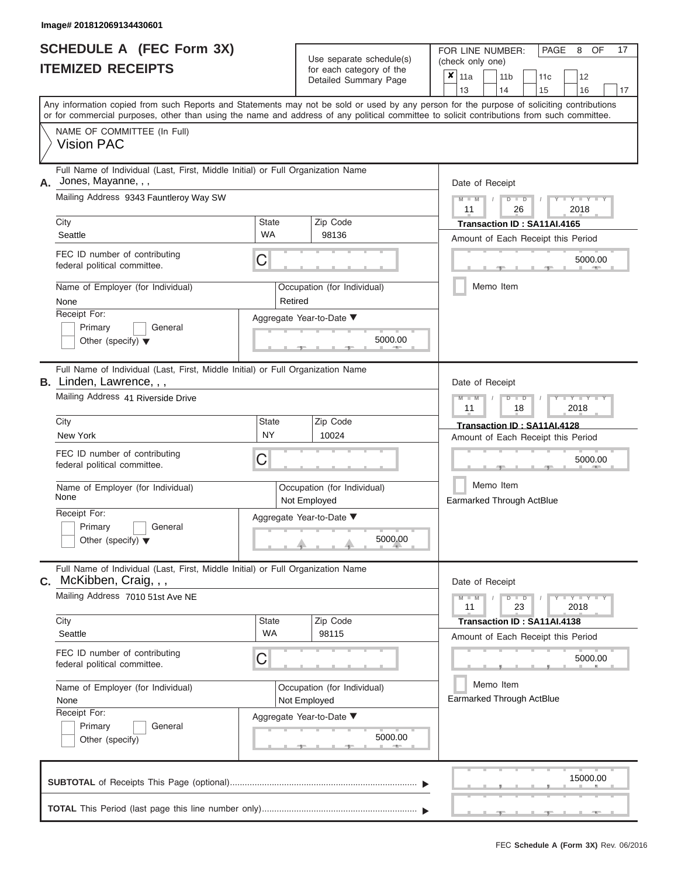|                          | <b>SCHEDULE A (FEC Form 3X)</b> |
|--------------------------|---------------------------------|
| <b>ITEMIZED RECEIPTS</b> |                                 |

Use separate schedule(s)<br>for each category of the

FOR LINE NUMBER:

PAGE 8 OF 17

|                                                                                                                    |                                                       | Use separate schedule(s)                             | (check only one)                                                                                                                                                                                                                                                                        |  |  |  |  |  |  |
|--------------------------------------------------------------------------------------------------------------------|-------------------------------------------------------|------------------------------------------------------|-----------------------------------------------------------------------------------------------------------------------------------------------------------------------------------------------------------------------------------------------------------------------------------------|--|--|--|--|--|--|
| <b>ITEMIZED RECEIPTS</b>                                                                                           |                                                       | for each category of the<br>Detailed Summary Page    | $\overline{\mathbf{x}}$   11a<br>11 <sub>b</sub><br>12<br>11c<br>13<br>14<br>15<br>16<br>17                                                                                                                                                                                             |  |  |  |  |  |  |
|                                                                                                                    |                                                       |                                                      | Any information copied from such Reports and Statements may not be sold or used by any person for the purpose of soliciting contributions<br>or for commercial purposes, other than using the name and address of any political committee to solicit contributions from such committee. |  |  |  |  |  |  |
| NAME OF COMMITTEE (In Full)<br><b>Vision PAC</b>                                                                   |                                                       |                                                      |                                                                                                                                                                                                                                                                                         |  |  |  |  |  |  |
| Full Name of Individual (Last, First, Middle Initial) or Full Organization Name<br>Jones, Mayanne, , ,<br>А.       |                                                       |                                                      | Date of Receipt                                                                                                                                                                                                                                                                         |  |  |  |  |  |  |
| Mailing Address 9343 Fauntleroy Way SW                                                                             | $M - M$<br>$D$ $D$<br>$Y - Y - Y$<br>11<br>26<br>2018 |                                                      |                                                                                                                                                                                                                                                                                         |  |  |  |  |  |  |
| City<br>Seattle                                                                                                    | State<br><b>WA</b>                                    | Zip Code<br>98136                                    | Transaction ID: SA11AI.4165<br>Amount of Each Receipt this Period                                                                                                                                                                                                                       |  |  |  |  |  |  |
| FEC ID number of contributing<br>federal political committee.                                                      | С                                                     |                                                      | 5000.00                                                                                                                                                                                                                                                                                 |  |  |  |  |  |  |
| Name of Employer (for Individual)<br>None                                                                          |                                                       | Occupation (for Individual)                          | Memo Item                                                                                                                                                                                                                                                                               |  |  |  |  |  |  |
| Receipt For:<br>Primary<br>General<br>Other (specify) $\blacktriangledown$                                         | Retired<br>Aggregate Year-to-Date ▼<br>5000.00        |                                                      |                                                                                                                                                                                                                                                                                         |  |  |  |  |  |  |
| Full Name of Individual (Last, First, Middle Initial) or Full Organization Name<br><b>B.</b> Linden, Lawrence, , , |                                                       |                                                      | Date of Receipt                                                                                                                                                                                                                                                                         |  |  |  |  |  |  |
| Mailing Address 41 Riverside Drive                                                                                 |                                                       |                                                      | $M - M$<br>$\blacksquare$<br><br><br><br><br><br><br><br><br><br>$D$ $\Box$ $D$<br>11<br>18<br>2018                                                                                                                                                                                     |  |  |  |  |  |  |
| City<br>New York                                                                                                   | State<br>NY                                           | Zip Code<br>10024                                    | Transaction ID: SA11AI.4128<br>Amount of Each Receipt this Period                                                                                                                                                                                                                       |  |  |  |  |  |  |
| FEC ID number of contributing<br>federal political committee.                                                      | С                                                     |                                                      | 5000.00                                                                                                                                                                                                                                                                                 |  |  |  |  |  |  |
| Name of Employer (for Individual)<br>None                                                                          |                                                       | Occupation (for Individual)<br>Not Employed          | Memo Item<br><b>Earmarked Through ActBlue</b>                                                                                                                                                                                                                                           |  |  |  |  |  |  |
| Receipt For:<br>Primary<br>General<br>Other (specify) $\blacktriangledown$                                         |                                                       | Aggregate Year-to-Date ▼<br>5000.00                  |                                                                                                                                                                                                                                                                                         |  |  |  |  |  |  |
| Full Name of Individual (Last, First, Middle Initial) or Full Organization Name<br>C. McKibben, Craig, , ,         |                                                       |                                                      | Date of Receipt                                                                                                                                                                                                                                                                         |  |  |  |  |  |  |
| Mailing Address 7010 51st Ave NE                                                                                   |                                                       |                                                      | Y FYLY FY<br>$M - M$<br>$D$ $D$<br>23<br>11<br>2018                                                                                                                                                                                                                                     |  |  |  |  |  |  |
| City<br>Seattle                                                                                                    | State<br><b>WA</b>                                    | Zip Code<br>98115                                    | Transaction ID: SA11AI.4138<br>Amount of Each Receipt this Period                                                                                                                                                                                                                       |  |  |  |  |  |  |
| FEC ID number of contributing<br>federal political committee.                                                      | 5000.00                                               |                                                      |                                                                                                                                                                                                                                                                                         |  |  |  |  |  |  |
| Name of Employer (for Individual)<br>None                                                                          |                                                       | Occupation (for Individual)<br>Not Employed          | Memo Item<br>Earmarked Through ActBlue                                                                                                                                                                                                                                                  |  |  |  |  |  |  |
| Receipt For:<br>Primary<br>General<br>Other (specify)                                                              |                                                       | Aggregate Year-to-Date ▼<br>5000.00<br><b>AND IN</b> |                                                                                                                                                                                                                                                                                         |  |  |  |  |  |  |
|                                                                                                                    |                                                       |                                                      | 15000.00                                                                                                                                                                                                                                                                                |  |  |  |  |  |  |
|                                                                                                                    |                                                       |                                                      |                                                                                                                                                                                                                                                                                         |  |  |  |  |  |  |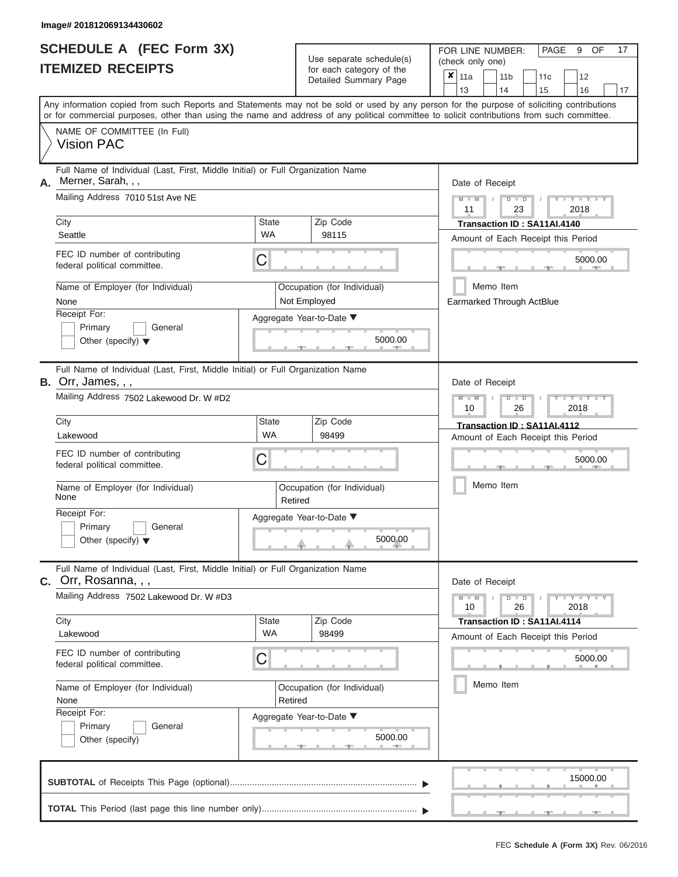| <b>SCHEDULE A (FEC Form 3X)</b> |  |  |
|---------------------------------|--|--|
| <b>ITEMIZED RECEIPTS</b>        |  |  |

Use separate schedule(s) (check only one) for each category of the

FOR LINE NUMBER:<br>(check only one)

PAGE 9 OF 17

| <u>IIEMIZED RECEIPIS</u><br>for each category of the<br>Detailed Summary Page                                |                                                                                                                                                                                                                                                                                         | ×<br>11a<br>11 <sub>b</sub><br>12<br>11c<br>13<br>14<br>15<br>16<br>17         |
|--------------------------------------------------------------------------------------------------------------|-----------------------------------------------------------------------------------------------------------------------------------------------------------------------------------------------------------------------------------------------------------------------------------------|--------------------------------------------------------------------------------|
|                                                                                                              | Any information copied from such Reports and Statements may not be sold or used by any person for the purpose of soliciting contributions<br>or for commercial purposes, other than using the name and address of any political committee to solicit contributions from such committee. |                                                                                |
| NAME OF COMMITTEE (In Full)<br><b>Vision PAC</b>                                                             |                                                                                                                                                                                                                                                                                         |                                                                                |
| Full Name of Individual (Last, First, Middle Initial) or Full Organization Name<br>Merner, Sarah, , ,<br>А.  |                                                                                                                                                                                                                                                                                         | Date of Receipt                                                                |
| Mailing Address 7010 51st Ave NE                                                                             |                                                                                                                                                                                                                                                                                         | $Y = Y =$<br>$M - M$<br>$\overline{D}$<br>$\overline{D}$<br>2018<br>11<br>23   |
| City<br>Seattle                                                                                              | <b>State</b><br>Zip Code<br>WA<br>98115                                                                                                                                                                                                                                                 | Transaction ID: SA11AI.4140                                                    |
|                                                                                                              |                                                                                                                                                                                                                                                                                         | Amount of Each Receipt this Period                                             |
| FEC ID number of contributing<br>federal political committee.                                                | C                                                                                                                                                                                                                                                                                       | 5000.00                                                                        |
| Name of Employer (for Individual)<br>None                                                                    | Occupation (for Individual)<br>Not Employed                                                                                                                                                                                                                                             | Memo Item<br>Earmarked Through ActBlue                                         |
| Receipt For:                                                                                                 | Aggregate Year-to-Date ▼                                                                                                                                                                                                                                                                |                                                                                |
| Primary<br>General<br>Other (specify) $\blacktriangledown$                                                   | 5000.00                                                                                                                                                                                                                                                                                 |                                                                                |
| Full Name of Individual (Last, First, Middle Initial) or Full Organization Name<br><b>B.</b> Orr, James, , , |                                                                                                                                                                                                                                                                                         | Date of Receipt                                                                |
| Mailing Address 7502 Lakewood Dr. W #D2                                                                      |                                                                                                                                                                                                                                                                                         | $Y = Y$<br>$\overline{\mathbb{D}}$<br>2018<br>10<br>26                         |
| City                                                                                                         | <b>State</b><br>Zip Code                                                                                                                                                                                                                                                                | Transaction ID: SA11AI.4112                                                    |
| Lakewood                                                                                                     | <b>WA</b><br>98499                                                                                                                                                                                                                                                                      | Amount of Each Receipt this Period                                             |
| FEC ID number of contributing<br>federal political committee.                                                | С                                                                                                                                                                                                                                                                                       | 5000.00                                                                        |
| Name of Employer (for Individual)<br>None                                                                    | Occupation (for Individual)<br>Retired                                                                                                                                                                                                                                                  | Memo Item                                                                      |
| Receipt For:<br>Primary<br>General<br>Other (specify) $\blacktriangledown$                                   | Aggregate Year-to-Date ▼<br>5000.00                                                                                                                                                                                                                                                     |                                                                                |
| Full Name of Individual (Last, First, Middle Initial) or Full Organization Name<br>c. Orr, Rosanna, , ,      |                                                                                                                                                                                                                                                                                         | Date of Receipt                                                                |
| Mailing Address 7502 Lakewood Dr. W #D3                                                                      |                                                                                                                                                                                                                                                                                         | $Y - Y - Y$<br>$\overline{D}$<br>$\overline{a}$<br>$M - M$<br>26<br>2018<br>10 |
| City                                                                                                         | <b>State</b><br>Zip Code                                                                                                                                                                                                                                                                | Transaction ID: SA11AI.4114                                                    |
| Lakewood                                                                                                     | WA<br>98499                                                                                                                                                                                                                                                                             | Amount of Each Receipt this Period                                             |
| FEC ID number of contributing<br>federal political committee.                                                | С                                                                                                                                                                                                                                                                                       | 5000.00                                                                        |
| Name of Employer (for Individual)<br>None                                                                    | Occupation (for Individual)<br>Retired                                                                                                                                                                                                                                                  | Memo Item                                                                      |
| Receipt For:                                                                                                 |                                                                                                                                                                                                                                                                                         |                                                                                |
| Primary<br>General                                                                                           | Aggregate Year-to-Date ▼                                                                                                                                                                                                                                                                |                                                                                |
| Other (specify)                                                                                              | 5000.00                                                                                                                                                                                                                                                                                 |                                                                                |
|                                                                                                              |                                                                                                                                                                                                                                                                                         | 15000.00                                                                       |
|                                                                                                              |                                                                                                                                                                                                                                                                                         |                                                                                |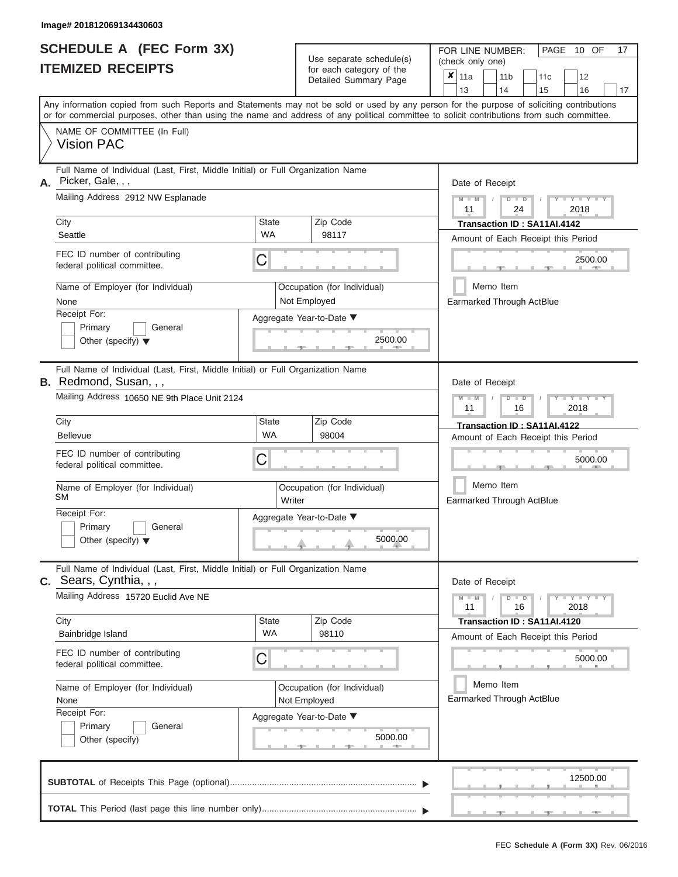| <b>SCHEDULE A (FEC Form 3X)</b> |  |  |
|---------------------------------|--|--|
| <b>ITEMIZED RECEIPTS</b>        |  |  |

Use separate schedule(s)<br>for each category of the

FOR LINE NUMBER:<br>(check only one)

PAGE 10 OF 17

|    |                                                                                                                                                                                                                                                                                         |                                                    | Detailed Summary Page                       | x                                  | 11a             |                                        | 11 <sub>b</sub>                                        |               | 11c                                | 12                    |         |    |  |
|----|-----------------------------------------------------------------------------------------------------------------------------------------------------------------------------------------------------------------------------------------------------------------------------------------|----------------------------------------------------|---------------------------------------------|------------------------------------|-----------------|----------------------------------------|--------------------------------------------------------|---------------|------------------------------------|-----------------------|---------|----|--|
|    |                                                                                                                                                                                                                                                                                         |                                                    |                                             |                                    | 13              |                                        | 14                                                     |               | 15                                 | 16                    |         | 17 |  |
|    | Any information copied from such Reports and Statements may not be sold or used by any person for the purpose of soliciting contributions<br>or for commercial purposes, other than using the name and address of any political committee to solicit contributions from such committee. |                                                    |                                             |                                    |                 |                                        |                                                        |               |                                    |                       |         |    |  |
|    | NAME OF COMMITTEE (In Full)<br><b>Vision PAC</b>                                                                                                                                                                                                                                        |                                                    |                                             |                                    |                 |                                        |                                                        |               |                                    |                       |         |    |  |
| А. | Full Name of Individual (Last, First, Middle Initial) or Full Organization Name<br>Picker, Gale, , ,                                                                                                                                                                                    |                                                    |                                             |                                    |                 |                                        | Date of Receipt                                        |               |                                    |                       |         |    |  |
|    | Mailing Address 2912 NW Esplanade                                                                                                                                                                                                                                                       |                                                    |                                             |                                    | $M - M$<br>11   |                                        |                                                        | $D$ $D$<br>24 |                                    | $Y - Y - I$<br>2018   |         |    |  |
|    | City                                                                                                                                                                                                                                                                                    | <b>State</b>                                       | Zip Code                                    |                                    |                 |                                        |                                                        |               | Transaction ID: SA11AI.4142        |                       |         |    |  |
|    | Seattle                                                                                                                                                                                                                                                                                 | <b>WA</b>                                          | 98117                                       |                                    |                 |                                        |                                                        |               | Amount of Each Receipt this Period |                       |         |    |  |
|    | FEC ID number of contributing<br>federal political committee.                                                                                                                                                                                                                           | С                                                  |                                             |                                    |                 |                                        |                                                        |               |                                    |                       | 2500.00 |    |  |
|    | Name of Employer (for Individual)<br>None                                                                                                                                                                                                                                               |                                                    | Occupation (for Individual)<br>Not Employed |                                    |                 |                                        | Memo Item                                              |               | Earmarked Through ActBlue          |                       |         |    |  |
|    | Receipt For:<br>Primary<br>General<br>Other (specify) $\blacktriangledown$                                                                                                                                                                                                              |                                                    | Aggregate Year-to-Date ▼<br>2500.00         |                                    |                 |                                        |                                                        |               |                                    |                       |         |    |  |
|    | Full Name of Individual (Last, First, Middle Initial) or Full Organization Name<br><b>B.</b> Redmond, Susan, , ,                                                                                                                                                                        |                                                    |                                             |                                    | Date of Receipt |                                        |                                                        |               |                                    |                       |         |    |  |
|    | Mailing Address 10650 NE 9th Place Unit 2124                                                                                                                                                                                                                                            |                                                    |                                             |                                    |                 |                                        | $M - M$<br>Y TYT<br>$D$ $\Box$ $D$<br>2018<br>11<br>16 |               |                                    |                       |         |    |  |
|    | City                                                                                                                                                                                                                                                                                    | <b>State</b>                                       | Zip Code                                    |                                    |                 |                                        |                                                        |               | Transaction ID: SA11AI.4122        |                       |         |    |  |
|    | <b>Bellevue</b>                                                                                                                                                                                                                                                                         | <b>WA</b>                                          | 98004                                       | Amount of Each Receipt this Period |                 |                                        |                                                        |               |                                    |                       |         |    |  |
|    | FEC ID number of contributing<br>federal political committee.                                                                                                                                                                                                                           | С                                                  |                                             |                                    |                 | 5000.00                                |                                                        |               |                                    |                       |         |    |  |
|    | Name of Employer (for Individual)<br>SМ                                                                                                                                                                                                                                                 | Occupation (for Individual)<br>Writer              |                                             |                                    |                 | Memo Item<br>Earmarked Through ActBlue |                                                        |               |                                    |                       |         |    |  |
|    | Receipt For:<br>Primary<br>General<br>Other (specify) $\blacktriangledown$                                                                                                                                                                                                              | Aggregate Year-to-Date ▼<br>5000.00                |                                             |                                    |                 |                                        |                                                        |               |                                    |                       |         |    |  |
|    | Full Name of Individual (Last, First, Middle Initial) or Full Organization Name<br>$c.$ Sears, Cynthia, , ,                                                                                                                                                                             |                                                    |                                             |                                    | Date of Receipt |                                        |                                                        |               |                                    |                       |         |    |  |
|    | Mailing Address 15720 Euclid Ave NE                                                                                                                                                                                                                                                     |                                                    |                                             |                                    | $M - M$<br>11   |                                        |                                                        | $D$ $D$<br>16 |                                    | Y = Y = Y = Y<br>2018 |         |    |  |
|    | City<br>Bainbridge Island                                                                                                                                                                                                                                                               | <b>State</b><br><b>WA</b>                          | Zip Code<br>98110                           |                                    |                 |                                        |                                                        |               | Transaction ID: SA11AI.4120        |                       |         |    |  |
|    | FEC ID number of contributing<br>federal political committee.                                                                                                                                                                                                                           | Amount of Each Receipt this Period<br>С<br>5000.00 |                                             |                                    |                 |                                        |                                                        |               |                                    |                       |         |    |  |
|    | Name of Employer (for Individual)                                                                                                                                                                                                                                                       | Occupation (for Individual)                        |                                             |                                    |                 | Memo Item<br>Earmarked Through ActBlue |                                                        |               |                                    |                       |         |    |  |
|    | None<br>Receipt For:                                                                                                                                                                                                                                                                    |                                                    | Not Employed                                |                                    |                 |                                        |                                                        |               |                                    |                       |         |    |  |
|    | Primary<br>General<br>Other (specify)                                                                                                                                                                                                                                                   |                                                    | Aggregate Year-to-Date ▼<br>5000.00         |                                    |                 |                                        |                                                        |               |                                    |                       |         |    |  |
|    |                                                                                                                                                                                                                                                                                         |                                                    |                                             |                                    |                 |                                        |                                                        |               |                                    | 12500.00              |         |    |  |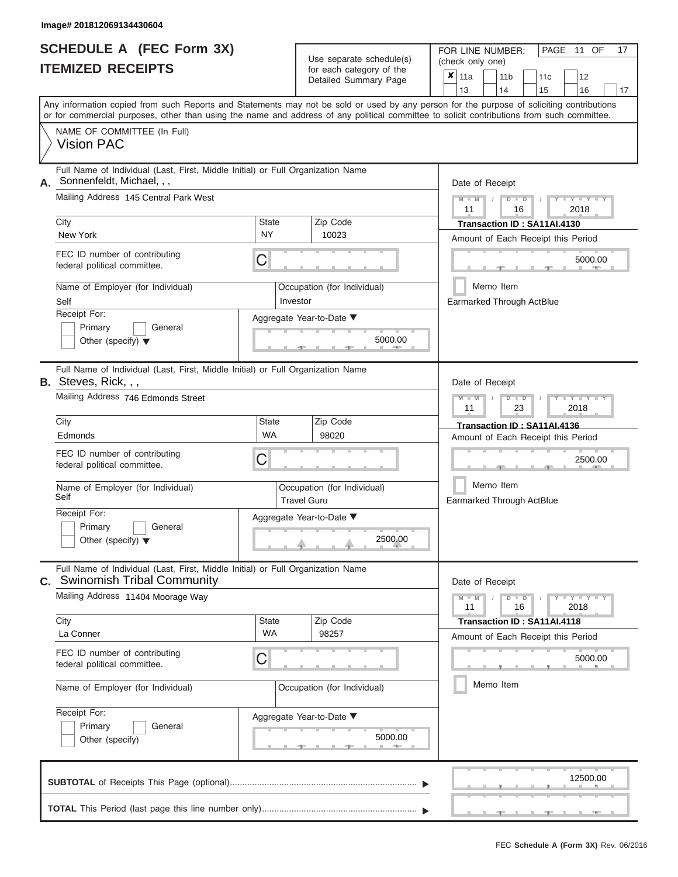| <b>SCHEDULE A (FEC Form 3X)</b> |  |  |
|---------------------------------|--|--|
| <b>ITEMIZED RECEIPTS</b>        |  |  |

Use separate schedule(s)<br>for each category of the

FOR LINE NUMBER:<br>(check only one)

PAGE 11 OF 17

|                                                                                                                                                                                                                                                                                         |             |                                                   | badii balogoiy of life<br>Detailed Summary Page | × | 11a             |  | 11 <sub>b</sub>      | 11c                                | 12                          |    |
|-----------------------------------------------------------------------------------------------------------------------------------------------------------------------------------------------------------------------------------------------------------------------------------------|-------------|---------------------------------------------------|-------------------------------------------------|---|-----------------|--|----------------------|------------------------------------|-----------------------------|----|
|                                                                                                                                                                                                                                                                                         |             |                                                   |                                                 |   | 13              |  | 14                   | 15                                 | 16                          | 17 |
| Any information copied from such Reports and Statements may not be sold or used by any person for the purpose of soliciting contributions<br>or for commercial purposes, other than using the name and address of any political committee to solicit contributions from such committee. |             |                                                   |                                                 |   |                 |  |                      |                                    |                             |    |
| NAME OF COMMITTEE (In Full)                                                                                                                                                                                                                                                             |             |                                                   |                                                 |   |                 |  |                      |                                    |                             |    |
| <b>Vision PAC</b>                                                                                                                                                                                                                                                                       |             |                                                   |                                                 |   |                 |  |                      |                                    |                             |    |
| Full Name of Individual (Last, First, Middle Initial) or Full Organization Name<br>Sonnenfeldt, Michael, , ,<br>А.                                                                                                                                                                      |             |                                                   |                                                 |   | Date of Receipt |  |                      |                                    |                             |    |
| Mailing Address 145 Central Park West                                                                                                                                                                                                                                                   |             |                                                   |                                                 |   | $M - M$<br>11   |  | $D$ $D$<br>16        |                                    | $Y - Y - I$<br>2018         |    |
| City                                                                                                                                                                                                                                                                                    | State       | Zip Code                                          |                                                 |   |                 |  |                      | Transaction ID: SA11AI.4130        |                             |    |
| New York                                                                                                                                                                                                                                                                                | NY          | 10023                                             |                                                 |   |                 |  |                      | Amount of Each Receipt this Period |                             |    |
| FEC ID number of contributing<br>federal political committee.                                                                                                                                                                                                                           | С           |                                                   |                                                 |   |                 |  |                      |                                    | 5000.00                     |    |
| Name of Employer (for Individual)<br>Self                                                                                                                                                                                                                                               | Investor    | Occupation (for Individual)                       |                                                 |   |                 |  | Memo Item            | Earmarked Through ActBlue          |                             |    |
| Receipt For:                                                                                                                                                                                                                                                                            |             | Aggregate Year-to-Date ▼                          |                                                 |   |                 |  |                      |                                    |                             |    |
| Primary<br>General<br>Other (specify) $\blacktriangledown$                                                                                                                                                                                                                              |             |                                                   | 5000.00                                         |   |                 |  |                      |                                    |                             |    |
| Full Name of Individual (Last, First, Middle Initial) or Full Organization Name<br><b>B.</b> Steves, Rick, , ,                                                                                                                                                                          |             |                                                   |                                                 |   | Date of Receipt |  |                      |                                    |                             |    |
| Mailing Address 746 Edmonds Street                                                                                                                                                                                                                                                      |             |                                                   |                                                 |   | $M - M$<br>11   |  | $D$ $\Box$ $D$<br>23 |                                    | Y TYT<br>2018               |    |
| City                                                                                                                                                                                                                                                                                    | State       | Zip Code                                          |                                                 |   |                 |  |                      | Transaction ID: SA11AI.4136        |                             |    |
| Edmonds                                                                                                                                                                                                                                                                                 | <b>WA</b>   | 98020                                             |                                                 |   |                 |  |                      | Amount of Each Receipt this Period |                             |    |
| FEC ID number of contributing<br>federal political committee.                                                                                                                                                                                                                           | С           |                                                   |                                                 |   |                 |  |                      |                                    | 2500.00                     |    |
| Name of Employer (for Individual)<br>Self                                                                                                                                                                                                                                               |             | Occupation (for Individual)<br><b>Travel Guru</b> |                                                 |   |                 |  | Memo Item            | Earmarked Through ActBlue          |                             |    |
| Receipt For:                                                                                                                                                                                                                                                                            |             | Aggregate Year-to-Date ▼                          |                                                 |   |                 |  |                      |                                    |                             |    |
| Primary<br>General<br>Other (specify) $\blacktriangledown$                                                                                                                                                                                                                              |             |                                                   | 2500.00                                         |   |                 |  |                      |                                    |                             |    |
|                                                                                                                                                                                                                                                                                         |             |                                                   |                                                 |   |                 |  |                      |                                    |                             |    |
| Full Name of Individual (Last, First, Middle Initial) or Full Organization Name<br><b>Swinomish Tribal Community</b><br>С.                                                                                                                                                              |             |                                                   |                                                 |   | Date of Receipt |  |                      |                                    |                             |    |
| Mailing Address 11404 Moorage Way                                                                                                                                                                                                                                                       |             |                                                   |                                                 |   | $M - M$<br>11   |  | $D$ $D$<br>16        |                                    | $Y - Y - Y - Y - Y$<br>2018 |    |
| City                                                                                                                                                                                                                                                                                    | State<br>WA | Zip Code                                          |                                                 |   |                 |  |                      | Transaction ID: SA11AI.4118        |                             |    |
| La Conner                                                                                                                                                                                                                                                                               |             | 98257                                             |                                                 |   |                 |  |                      | Amount of Each Receipt this Period |                             |    |
| FEC ID number of contributing<br>federal political committee.                                                                                                                                                                                                                           | С           |                                                   |                                                 |   |                 |  |                      |                                    | 5000.00                     |    |
| Name of Employer (for Individual)                                                                                                                                                                                                                                                       |             | Occupation (for Individual)                       |                                                 |   | Memo Item       |  |                      |                                    |                             |    |
| Receipt For:                                                                                                                                                                                                                                                                            |             | Aggregate Year-to-Date ▼                          |                                                 |   |                 |  |                      |                                    |                             |    |
| Primary<br>General<br>Other (specify)                                                                                                                                                                                                                                                   |             |                                                   | 5000.00                                         |   |                 |  |                      |                                    |                             |    |
|                                                                                                                                                                                                                                                                                         |             |                                                   |                                                 |   |                 |  |                      |                                    |                             |    |
|                                                                                                                                                                                                                                                                                         |             |                                                   |                                                 |   |                 |  |                      |                                    | 12500.00                    |    |
|                                                                                                                                                                                                                                                                                         |             |                                                   |                                                 |   |                 |  |                      |                                    |                             |    |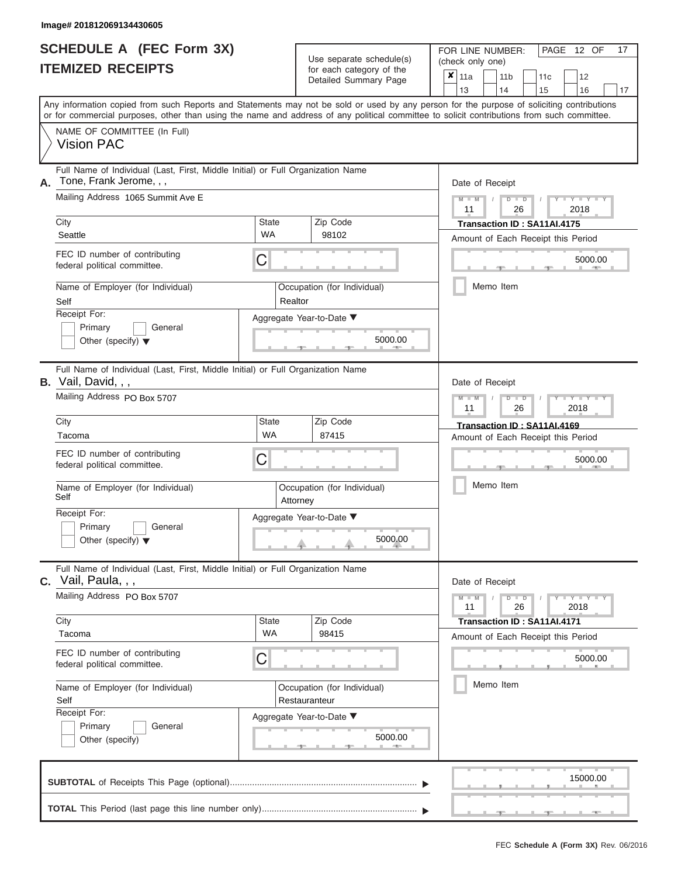| <b>SCHEDULE A (FEC Form 3X)</b> |  |  |
|---------------------------------|--|--|
| <b>ITEMIZED RECEIPTS</b>        |  |  |

Use separate schedule(s)<br>for each category of the

FOR LINE NUMBER:<br>(check only one)

PAGE 12 OF 17

| <b>ITEMIZED RECEIPTS</b>                                                                                                                                                                                                                                                                | for each category of the<br>Detailed Summary Page   | $\boldsymbol{x}$<br>11a<br>11 <sub>b</sub><br>11c<br>12<br>14<br>13<br>15<br>16<br>17 |  |  |  |  |
|-----------------------------------------------------------------------------------------------------------------------------------------------------------------------------------------------------------------------------------------------------------------------------------------|-----------------------------------------------------|---------------------------------------------------------------------------------------|--|--|--|--|
| Any information copied from such Reports and Statements may not be sold or used by any person for the purpose of soliciting contributions<br>or for commercial purposes, other than using the name and address of any political committee to solicit contributions from such committee. |                                                     |                                                                                       |  |  |  |  |
| NAME OF COMMITTEE (In Full)<br><b>Vision PAC</b>                                                                                                                                                                                                                                        |                                                     |                                                                                       |  |  |  |  |
| Full Name of Individual (Last, First, Middle Initial) or Full Organization Name<br>Tone, Frank Jerome, , ,<br>Α.                                                                                                                                                                        |                                                     | Date of Receipt                                                                       |  |  |  |  |
| Mailing Address 1065 Summit Ave E                                                                                                                                                                                                                                                       |                                                     | $M - M$<br>$D$ $D$<br>$+$ $+$ $+$ $+$ $+$ $+$<br>11<br>26<br>2018                     |  |  |  |  |
| City<br>Seattle                                                                                                                                                                                                                                                                         | Zip Code<br><b>State</b><br>WA<br>98102             | Transaction ID: SA11AI.4175<br>Amount of Each Receipt this Period                     |  |  |  |  |
| FEC ID number of contributing<br>federal political committee.                                                                                                                                                                                                                           | С                                                   | 5000.00                                                                               |  |  |  |  |
| Name of Employer (for Individual)<br>Self                                                                                                                                                                                                                                               | Occupation (for Individual)<br>Realtor              | Memo Item                                                                             |  |  |  |  |
| Receipt For:<br>Primary<br>General                                                                                                                                                                                                                                                      | Aggregate Year-to-Date ▼                            |                                                                                       |  |  |  |  |
| Other (specify) $\blacktriangledown$                                                                                                                                                                                                                                                    | 5000.00                                             |                                                                                       |  |  |  |  |
| Full Name of Individual (Last, First, Middle Initial) or Full Organization Name<br><b>B.</b> Vail, David, , ,                                                                                                                                                                           |                                                     | Date of Receipt                                                                       |  |  |  |  |
| Mailing Address PO Box 5707                                                                                                                                                                                                                                                             |                                                     | Y TYT<br>$M -$<br>₽<br>$\Box$<br>26<br>11<br>2018                                     |  |  |  |  |
| City<br>Tacoma                                                                                                                                                                                                                                                                          | Zip Code<br><b>State</b><br><b>WA</b><br>87415      | Transaction ID: SA11AI.4169<br>Amount of Each Receipt this Period                     |  |  |  |  |
| FEC ID number of contributing<br>federal political committee.                                                                                                                                                                                                                           | С                                                   | 5000.00                                                                               |  |  |  |  |
| Name of Employer (for Individual)<br>Self                                                                                                                                                                                                                                               | Occupation (for Individual)<br>Attorney             | Memo Item                                                                             |  |  |  |  |
| Receipt For:<br>Primary<br>General<br>Other (specify) $\blacktriangledown$                                                                                                                                                                                                              | Aggregate Year-to-Date ▼<br>5000.00                 |                                                                                       |  |  |  |  |
| Full Name of Individual (Last, First, Middle Initial) or Full Organization Name<br>Vail, Paula, , ,<br>C.                                                                                                                                                                               |                                                     | Date of Receipt                                                                       |  |  |  |  |
| Mailing Address PO Box 5707                                                                                                                                                                                                                                                             |                                                     | $M - M$<br>$D$ $D$<br>$Y - Y - I$<br>26<br>11<br>2018                                 |  |  |  |  |
| City<br>Tacoma                                                                                                                                                                                                                                                                          | Zip Code<br><b>State</b><br><b>WA</b><br>98415      | Transaction ID: SA11AI.4171<br>Amount of Each Receipt this Period                     |  |  |  |  |
| FEC ID number of contributing<br>federal political committee.                                                                                                                                                                                                                           | С                                                   | 5000.00                                                                               |  |  |  |  |
| Name of Employer (for Individual)<br>Self                                                                                                                                                                                                                                               | Occupation (for Individual)<br>Restauranteur        | Memo Item                                                                             |  |  |  |  |
| Receipt For:<br>Primary<br>General<br>Other (specify)                                                                                                                                                                                                                                   | Aggregate Year-to-Date ▼<br>5000.00<br>an a<br>- 10 |                                                                                       |  |  |  |  |
|                                                                                                                                                                                                                                                                                         |                                                     | 15000.00                                                                              |  |  |  |  |
|                                                                                                                                                                                                                                                                                         |                                                     |                                                                                       |  |  |  |  |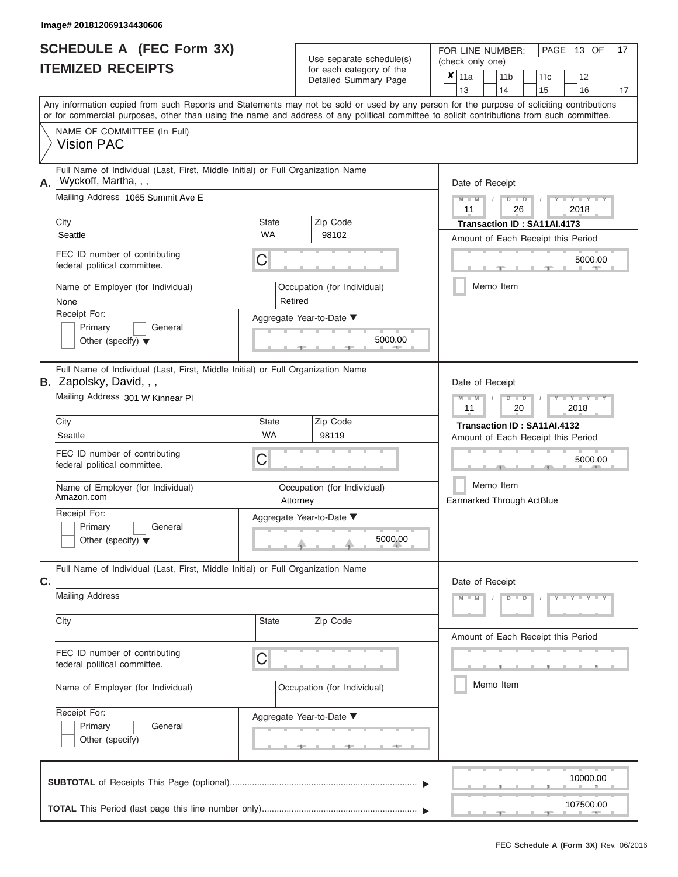ı

|                          | SCHEDULE A (FEC Form 3X) |
|--------------------------|--------------------------|
| <b>ITEMIZED RECEIPTS</b> |                          |

Use separate schedule(s)<br>for each category of the

FOR LINE NUMBER:<br>(check only one)

PAGE 13 OF 17

|    | <b>IIEMILED REVEIFIJ</b>                                                                                                                                                                                                                                                                |                    | for each category of the                |  | ×<br>11a                                                          |  | 11 <sub>b</sub> | 11c                         |  | 12         |    |  |  |  |
|----|-----------------------------------------------------------------------------------------------------------------------------------------------------------------------------------------------------------------------------------------------------------------------------------------|--------------------|-----------------------------------------|--|-------------------------------------------------------------------|--|-----------------|-----------------------------|--|------------|----|--|--|--|
|    |                                                                                                                                                                                                                                                                                         |                    | Detailed Summary Page                   |  | 13                                                                |  | 14              | 15                          |  | 16         | 17 |  |  |  |
|    | Any information copied from such Reports and Statements may not be sold or used by any person for the purpose of soliciting contributions<br>or for commercial purposes, other than using the name and address of any political committee to solicit contributions from such committee. |                    |                                         |  |                                                                   |  |                 |                             |  |            |    |  |  |  |
|    | NAME OF COMMITTEE (In Full)<br><b>Vision PAC</b>                                                                                                                                                                                                                                        |                    |                                         |  |                                                                   |  |                 |                             |  |            |    |  |  |  |
| А. | Full Name of Individual (Last, First, Middle Initial) or Full Organization Name<br>Wyckoff, Martha, , ,                                                                                                                                                                                 |                    | Date of Receipt                         |  |                                                                   |  |                 |                             |  |            |    |  |  |  |
|    | Mailing Address 1065 Summit Ave E                                                                                                                                                                                                                                                       |                    |                                         |  | $M - M$<br>$D$ $D$<br>$Y - Y - I$<br>11<br>26<br>2018             |  |                 |                             |  |            |    |  |  |  |
|    | City<br>Seattle                                                                                                                                                                                                                                                                         | State<br><b>WA</b> | Zip Code<br>98102                       |  | Transaction ID: SA11AI.4173<br>Amount of Each Receipt this Period |  |                 |                             |  |            |    |  |  |  |
|    | FEC ID number of contributing<br>federal political committee.                                                                                                                                                                                                                           | С                  |                                         |  | 5000.00<br>Memo Item                                              |  |                 |                             |  |            |    |  |  |  |
|    | Name of Employer (for Individual)<br>None                                                                                                                                                                                                                                               | Retired            | Occupation (for Individual)             |  |                                                                   |  |                 |                             |  |            |    |  |  |  |
|    | Receipt For:<br>Primary<br>General<br>Other (specify) $\blacktriangledown$                                                                                                                                                                                                              |                    | Aggregate Year-to-Date ▼<br>5000.00     |  |                                                                   |  |                 |                             |  |            |    |  |  |  |
|    | Full Name of Individual (Last, First, Middle Initial) or Full Organization Name<br>B. Zapolsky, David, , ,                                                                                                                                                                              |                    |                                         |  | Date of Receipt                                                   |  |                 |                             |  |            |    |  |  |  |
|    | Mailing Address 301 W Kinnear PI                                                                                                                                                                                                                                                        |                    |                                         |  | $M - M$<br>$D$ $\Box$ $D$<br>$\mathbf{Y}$<br>11<br>20<br>2018     |  |                 |                             |  |            |    |  |  |  |
|    | City<br>Seattle                                                                                                                                                                                                                                                                         | State<br><b>WA</b> | Zip Code<br>98119                       |  |                                                                   |  |                 | Transaction ID: SA11AI.4132 |  |            |    |  |  |  |
|    | FEC ID number of contributing<br>federal political committee.                                                                                                                                                                                                                           | C                  |                                         |  | Amount of Each Receipt this Period<br>5000.00                     |  |                 |                             |  |            |    |  |  |  |
|    | Name of Employer (for Individual)<br>Amazon.com                                                                                                                                                                                                                                         |                    | Occupation (for Individual)<br>Attorney |  | Earmarked Through ActBlue                                         |  | Memo Item       |                             |  |            |    |  |  |  |
|    | Receipt For:<br>Primary<br>General<br>Other (specify) $\blacktriangledown$                                                                                                                                                                                                              |                    | Aggregate Year-to-Date ▼<br>5000.00     |  |                                                                   |  |                 |                             |  |            |    |  |  |  |
| C. | Full Name of Individual (Last, First, Middle Initial) or Full Organization Name                                                                                                                                                                                                         |                    |                                         |  | Date of Receipt                                                   |  |                 |                             |  |            |    |  |  |  |
|    | <b>Mailing Address</b>                                                                                                                                                                                                                                                                  |                    |                                         |  | $M - M$                                                           |  | $D$ $D$         |                             |  | Y FY FY FY |    |  |  |  |
|    | City                                                                                                                                                                                                                                                                                    | State              | Zip Code                                |  |                                                                   |  |                 |                             |  |            |    |  |  |  |
|    | FEC ID number of contributing<br>federal political committee.                                                                                                                                                                                                                           | С                  |                                         |  | Amount of Each Receipt this Period                                |  |                 |                             |  |            |    |  |  |  |
|    | Name of Employer (for Individual)                                                                                                                                                                                                                                                       |                    | Occupation (for Individual)             |  |                                                                   |  | Memo Item       |                             |  |            |    |  |  |  |
|    | Receipt For:<br>General<br>Primary<br>Other (specify)                                                                                                                                                                                                                                   |                    | Aggregate Year-to-Date ▼                |  |                                                                   |  |                 |                             |  |            |    |  |  |  |
|    |                                                                                                                                                                                                                                                                                         |                    |                                         |  |                                                                   |  |                 |                             |  | 10000.00   |    |  |  |  |
|    |                                                                                                                                                                                                                                                                                         |                    |                                         |  |                                                                   |  |                 |                             |  | 107500.00  |    |  |  |  |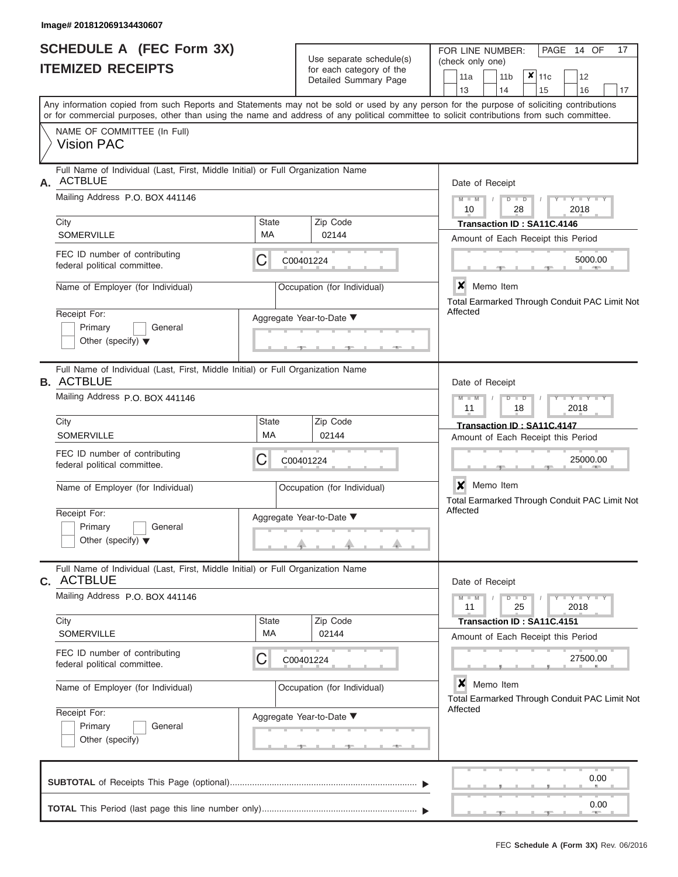|                          | SCHEDULE A (FEC Form 3X) |
|--------------------------|--------------------------|
| <b>ITEMIZED RECEIPTS</b> |                          |

Use separate schedule(s)<br>for each category of the

FOR LINE NUMBER:<br>(check only one)

PAGE 14 OF 17

|    |                                                                                                                                                                                                                                                                                         |                             | badii balogoiy of life<br>Detailed Summary Page                            |  | 11a                                                              |               | 11 <sub>b</sub> |                                               | $x _{11c}$                                                      | 12      |      |    |  |  |
|----|-----------------------------------------------------------------------------------------------------------------------------------------------------------------------------------------------------------------------------------------------------------------------------------------|-----------------------------|----------------------------------------------------------------------------|--|------------------------------------------------------------------|---------------|-----------------|-----------------------------------------------|-----------------------------------------------------------------|---------|------|----|--|--|
|    | Any information copied from such Reports and Statements may not be sold or used by any person for the purpose of soliciting contributions<br>or for commercial purposes, other than using the name and address of any political committee to solicit contributions from such committee. |                             |                                                                            |  | 13                                                               |               | 14              |                                               | 15                                                              | 16      |      | 17 |  |  |
|    | NAME OF COMMITTEE (In Full)<br><b>Vision PAC</b>                                                                                                                                                                                                                                        |                             |                                                                            |  |                                                                  |               |                 |                                               |                                                                 |         |      |    |  |  |
| А. | Full Name of Individual (Last, First, Middle Initial) or Full Organization Name<br><b>ACTBLUE</b>                                                                                                                                                                                       |                             |                                                                            |  | Date of Receipt                                                  |               |                 |                                               |                                                                 |         |      |    |  |  |
|    | Mailing Address P.O. BOX 441146                                                                                                                                                                                                                                                         |                             | $M - M$<br>$D$ $D$<br>Y TY<br>2018<br>10<br>28                             |  |                                                                  |               |                 |                                               |                                                                 |         |      |    |  |  |
|    | City<br><b>SOMERVILLE</b>                                                                                                                                                                                                                                                               | <b>State</b><br>МA          | Zip Code<br>02144                                                          |  | Transaction ID: SA11C.4146<br>Amount of Each Receipt this Period |               |                 |                                               |                                                                 |         |      |    |  |  |
|    | FEC ID number of contributing<br>federal political committee.                                                                                                                                                                                                                           | С<br>C00401224              |                                                                            |  |                                                                  |               |                 |                                               |                                                                 | 5000.00 |      |    |  |  |
|    | Name of Employer (for Individual)                                                                                                                                                                                                                                                       |                             | X Memo Item                                                                |  |                                                                  |               |                 | Total Earmarked Through Conduit PAC Limit Not |                                                                 |         |      |    |  |  |
|    | Receipt For:<br>Primary<br>General<br>Other (specify) $\blacktriangledown$                                                                                                                                                                                                              |                             | Affected                                                                   |  |                                                                  |               |                 |                                               |                                                                 |         |      |    |  |  |
|    | Full Name of Individual (Last, First, Middle Initial) or Full Organization Name<br><b>B. ACTBLUE</b>                                                                                                                                                                                    |                             |                                                                            |  | Date of Receipt                                                  |               |                 |                                               |                                                                 |         |      |    |  |  |
|    | Mailing Address P.O. BOX 441146                                                                                                                                                                                                                                                         |                             | $M - M$<br>11                                                              |  |                                                                  | $D$ $D$<br>18 |                 | Y TYT<br>2018                                 |                                                                 |         |      |    |  |  |
|    | City<br><b>SOMERVILLE</b>                                                                                                                                                                                                                                                               | <b>State</b><br>MA          | Zip Code<br>02144                                                          |  | Transaction ID: SA11C.4147<br>Amount of Each Receipt this Period |               |                 |                                               |                                                                 |         |      |    |  |  |
|    | FEC ID number of contributing<br>federal political committee.                                                                                                                                                                                                                           | С<br>C00401224              |                                                                            |  |                                                                  |               |                 |                                               | 25000.00                                                        |         |      |    |  |  |
|    | Name of Employer (for Individual)                                                                                                                                                                                                                                                       |                             | $\mathbf{x}$<br>Memo Item<br>Total Earmarked Through Conduit PAC Limit Not |  |                                                                  |               |                 |                                               |                                                                 |         |      |    |  |  |
|    | Receipt For:<br>Primary<br>General<br>Other (specify) $\blacktriangledown$                                                                                                                                                                                                              |                             | Aggregate Year-to-Date ▼                                                   |  | Affected                                                         |               |                 |                                               |                                                                 |         |      |    |  |  |
|    | Full Name of Individual (Last, First, Middle Initial) or Full Organization Name<br>C. ACTBLUE                                                                                                                                                                                           |                             |                                                                            |  | Date of Receipt                                                  |               |                 |                                               |                                                                 |         |      |    |  |  |
|    | Mailing Address P.O. BOX 441146                                                                                                                                                                                                                                                         |                             | $M - M$<br>$Y - Y - Y - Y - Y$<br>$D$ $D$<br>25<br>2018<br>11              |  |                                                                  |               |                 |                                               |                                                                 |         |      |    |  |  |
|    | City<br><b>SOMERVILLE</b>                                                                                                                                                                                                                                                               | <b>State</b><br>МA          | Zip Code<br>02144                                                          |  |                                                                  |               |                 |                                               | Transaction ID: SA11C.4151                                      |         |      |    |  |  |
|    | FEC ID number of contributing<br>federal political committee.                                                                                                                                                                                                                           | С                           | C00401224                                                                  |  | Amount of Each Receipt this Period<br>27500.00                   |               |                 |                                               |                                                                 |         |      |    |  |  |
|    | Name of Employer (for Individual)                                                                                                                                                                                                                                                       | Occupation (for Individual) |                                                                            |  |                                                                  |               |                 |                                               | ×<br>Memo Item<br>Total Earmarked Through Conduit PAC Limit Not |         |      |    |  |  |
|    | Receipt For:<br>Primary<br>General<br>Other (specify)                                                                                                                                                                                                                                   |                             | Aggregate Year-to-Date ▼                                                   |  | Affected                                                         |               |                 |                                               |                                                                 |         |      |    |  |  |
|    |                                                                                                                                                                                                                                                                                         |                             |                                                                            |  |                                                                  |               |                 |                                               |                                                                 |         | 0.00 |    |  |  |
|    |                                                                                                                                                                                                                                                                                         |                             |                                                                            |  |                                                                  |               |                 |                                               |                                                                 |         | 0.00 |    |  |  |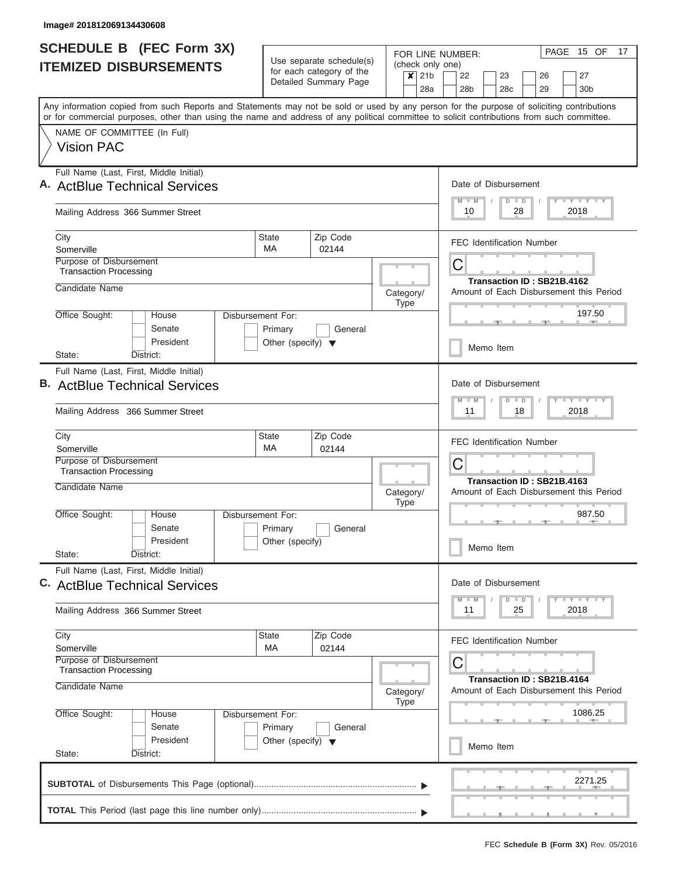I

|                               | <b>SCHEDULE B (FEC Form 3X)</b>                      |           |                                                      |  |                                      |                                                                                                                                                                                                                                                                                         |                             |                                         |                            | FOR LINE NUMBER:                                                             |         |                      |                                         |  |            | PAGE 15 OF                  | 17 |
|-------------------------------|------------------------------------------------------|-----------|------------------------------------------------------|--|--------------------------------------|-----------------------------------------------------------------------------------------------------------------------------------------------------------------------------------------------------------------------------------------------------------------------------------------|-----------------------------|-----------------------------------------|----------------------------|------------------------------------------------------------------------------|---------|----------------------|-----------------------------------------|--|------------|-----------------------------|----|
| <b>ITEMIZED DISBURSEMENTS</b> |                                                      |           | Use separate schedule(s)<br>for each category of the |  |                                      |                                                                                                                                                                                                                                                                                         | (check only one)<br>$x$ 21b | 27<br>26                                |                            |                                                                              |         |                      |                                         |  |            |                             |    |
|                               |                                                      |           |                                                      |  |                                      | Detailed Summary Page                                                                                                                                                                                                                                                                   |                             |                                         | 28a                        | 22<br>28 <sub>b</sub>                                                        |         | 23<br>28c            | 29                                      |  |            | 30 <sub>b</sub>             |    |
|                               |                                                      |           |                                                      |  |                                      | Any information copied from such Reports and Statements may not be sold or used by any person for the purpose of soliciting contributions<br>or for commercial purposes, other than using the name and address of any political committee to solicit contributions from such committee. |                             |                                         |                            |                                                                              |         |                      |                                         |  |            |                             |    |
|                               | NAME OF COMMITTEE (In Full)                          |           |                                                      |  |                                      |                                                                                                                                                                                                                                                                                         |                             |                                         |                            |                                                                              |         |                      |                                         |  |            |                             |    |
|                               | <b>Vision PAC</b>                                    |           |                                                      |  |                                      |                                                                                                                                                                                                                                                                                         |                             |                                         |                            |                                                                              |         |                      |                                         |  |            |                             |    |
|                               | Full Name (Last, First, Middle Initial)              |           |                                                      |  |                                      |                                                                                                                                                                                                                                                                                         |                             |                                         |                            |                                                                              |         |                      |                                         |  |            |                             |    |
|                               | A. ActBlue Technical Services                        |           |                                                      |  |                                      |                                                                                                                                                                                                                                                                                         |                             |                                         |                            |                                                                              |         | Date of Disbursement |                                         |  |            |                             |    |
|                               | Mailing Address 366 Summer Street                    |           |                                                      |  |                                      |                                                                                                                                                                                                                                                                                         |                             |                                         |                            | $M - M$<br>10                                                                |         | $D$ $D$              | 28                                      |  | 2018       | Y L Y L Y L Y               |    |
| City                          |                                                      |           |                                                      |  | <b>State</b>                         | Zip Code                                                                                                                                                                                                                                                                                |                             |                                         |                            |                                                                              |         |                      | <b>FEC Identification Number</b>        |  |            |                             |    |
|                               | Somerville<br>Purpose of Disbursement                |           |                                                      |  | <b>MA</b>                            | 02144                                                                                                                                                                                                                                                                                   |                             |                                         |                            | C                                                                            |         |                      |                                         |  |            |                             |    |
|                               | <b>Transaction Processing</b>                        |           |                                                      |  |                                      |                                                                                                                                                                                                                                                                                         |                             |                                         |                            |                                                                              |         |                      | Transaction ID: SB21B.4162              |  |            |                             |    |
|                               | Candidate Name                                       |           |                                                      |  |                                      |                                                                                                                                                                                                                                                                                         |                             | Category/                               |                            |                                                                              |         |                      | Amount of Each Disbursement this Period |  |            |                             |    |
|                               | Office Sought:                                       | House     |                                                      |  | Disbursement For:                    |                                                                                                                                                                                                                                                                                         |                             | <b>Type</b>                             |                            |                                                                              |         |                      |                                         |  |            | 197.50                      |    |
|                               |                                                      | Senate    |                                                      |  | Primary                              | General                                                                                                                                                                                                                                                                                 |                             |                                         |                            |                                                                              |         |                      |                                         |  |            |                             |    |
|                               |                                                      |           | President                                            |  | Other (specify) $\blacktriangledown$ |                                                                                                                                                                                                                                                                                         |                             |                                         |                            |                                                                              |         | Memo Item            |                                         |  |            |                             |    |
| State:                        | Full Name (Last, First, Middle Initial)              | District: |                                                      |  |                                      |                                                                                                                                                                                                                                                                                         |                             |                                         |                            |                                                                              |         |                      |                                         |  |            |                             |    |
|                               | <b>B.</b> ActBlue Technical Services                 |           |                                                      |  |                                      |                                                                                                                                                                                                                                                                                         |                             |                                         |                            |                                                                              |         | Date of Disbursement |                                         |  |            |                             |    |
|                               |                                                      |           |                                                      |  |                                      |                                                                                                                                                                                                                                                                                         |                             |                                         | $M - M$                    |                                                                              | $D$ $D$ |                      |                                         |  | Y FY FY FY |                             |    |
|                               | Mailing Address 366 Summer Street                    |           |                                                      |  |                                      |                                                                                                                                                                                                                                                                                         |                             |                                         |                            | 11<br>18<br>2018                                                             |         |                      |                                         |  |            |                             |    |
| City                          | Somerville                                           |           |                                                      |  | <b>State</b><br><b>MA</b>            | Zip Code<br>02144                                                                                                                                                                                                                                                                       |                             |                                         |                            |                                                                              |         |                      | <b>FEC Identification Number</b>        |  |            |                             |    |
|                               | Purpose of Disbursement                              |           |                                                      |  |                                      |                                                                                                                                                                                                                                                                                         |                             |                                         |                            | C                                                                            |         |                      |                                         |  |            |                             |    |
|                               | <b>Transaction Processing</b><br>Candidate Name      |           |                                                      |  |                                      |                                                                                                                                                                                                                                                                                         |                             |                                         | Transaction ID: SB21B.4163 |                                                                              |         |                      |                                         |  |            |                             |    |
|                               |                                                      |           |                                                      |  |                                      | Category/<br><b>Type</b>                                                                                                                                                                                                                                                                |                             | Amount of Each Disbursement this Period |                            |                                                                              |         |                      |                                         |  |            |                             |    |
|                               | Office Sought:                                       | House     |                                                      |  | Disbursement For:                    |                                                                                                                                                                                                                                                                                         |                             |                                         |                            |                                                                              |         |                      |                                         |  |            | 987.50<br><b>COLLECTION</b> |    |
|                               |                                                      | Senate    | President                                            |  | Primary<br>Other (specify)           | General                                                                                                                                                                                                                                                                                 |                             |                                         |                            |                                                                              |         |                      |                                         |  |            |                             |    |
| State:                        |                                                      | District: |                                                      |  |                                      |                                                                                                                                                                                                                                                                                         |                             |                                         |                            |                                                                              |         | Memo Item            |                                         |  |            |                             |    |
|                               | Full Name (Last, First, Middle Initial)              |           |                                                      |  |                                      |                                                                                                                                                                                                                                                                                         |                             |                                         |                            |                                                                              |         |                      |                                         |  |            |                             |    |
|                               | C. ActBlue Technical Services                        |           |                                                      |  |                                      |                                                                                                                                                                                                                                                                                         |                             |                                         |                            | Date of Disbursement<br>Y FY FY FY<br>$D$ $D$<br>$M - M$<br>11<br>25<br>2018 |         |                      |                                         |  |            |                             |    |
|                               | Mailing Address 366 Summer Street                    |           |                                                      |  |                                      |                                                                                                                                                                                                                                                                                         |                             |                                         |                            |                                                                              |         |                      |                                         |  |            |                             |    |
| City                          |                                                      |           |                                                      |  | <b>State</b>                         | Zip Code                                                                                                                                                                                                                                                                                |                             |                                         |                            |                                                                              |         |                      | <b>FEC Identification Number</b>        |  |            |                             |    |
|                               | MA<br>02144<br>Somerville<br>Purpose of Disbursement |           |                                                      |  |                                      |                                                                                                                                                                                                                                                                                         |                             |                                         |                            | С                                                                            |         |                      |                                         |  |            |                             |    |
|                               | <b>Transaction Processing</b>                        |           |                                                      |  |                                      |                                                                                                                                                                                                                                                                                         |                             |                                         |                            |                                                                              |         |                      | Transaction ID: SB21B.4164              |  |            |                             |    |
|                               | Candidate Name<br>Category/<br>Type                  |           |                                                      |  |                                      |                                                                                                                                                                                                                                                                                         |                             |                                         |                            |                                                                              |         |                      | Amount of Each Disbursement this Period |  |            |                             |    |
|                               | Office Sought:<br>Disbursement For:<br>House         |           |                                                      |  |                                      |                                                                                                                                                                                                                                                                                         |                             |                                         |                            |                                                                              |         |                      |                                         |  |            | 1086.25                     |    |
|                               |                                                      | Senate    |                                                      |  | Primary                              | General                                                                                                                                                                                                                                                                                 |                             |                                         |                            |                                                                              |         |                      |                                         |  |            |                             |    |
| State:                        |                                                      | District: | President                                            |  | Other (specify) $\blacktriangledown$ |                                                                                                                                                                                                                                                                                         |                             |                                         |                            |                                                                              |         | Memo Item            |                                         |  |            |                             |    |
|                               |                                                      |           |                                                      |  |                                      |                                                                                                                                                                                                                                                                                         |                             |                                         |                            |                                                                              |         |                      |                                         |  |            |                             |    |
|                               |                                                      |           |                                                      |  |                                      |                                                                                                                                                                                                                                                                                         |                             |                                         |                            |                                                                              |         |                      |                                         |  |            | 2271.25                     |    |
|                               |                                                      |           |                                                      |  |                                      |                                                                                                                                                                                                                                                                                         |                             |                                         |                            |                                                                              |         |                      |                                         |  |            |                             |    |
|                               |                                                      |           |                                                      |  |                                      |                                                                                                                                                                                                                                                                                         |                             |                                         |                            |                                                                              |         |                      | <u>, , , , , , , , , , , , , , , ,</u>  |  |            |                             |    |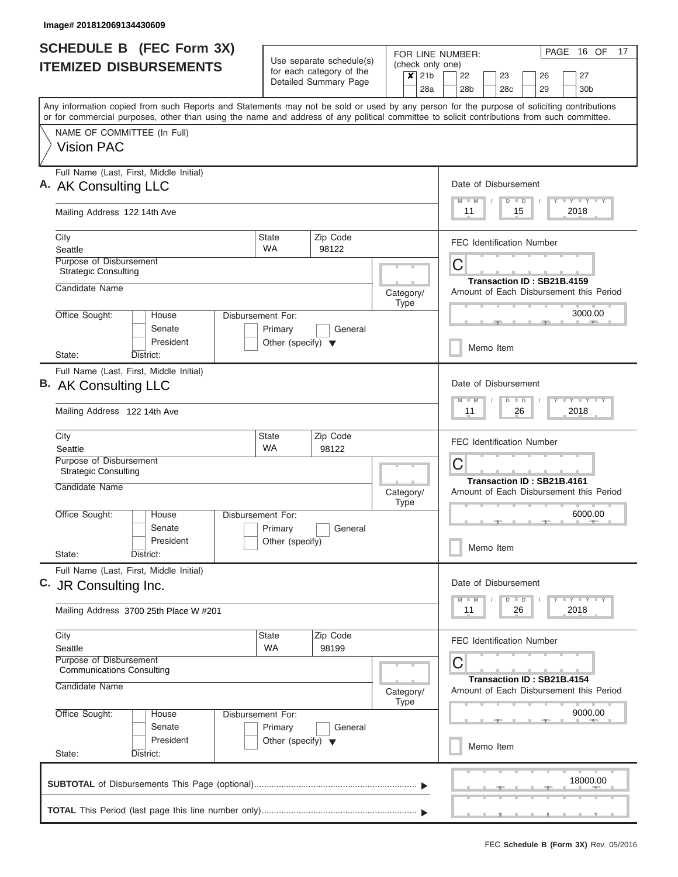| <b>SCHEDULE B (FEC Form 3X)</b>                                                                                                                                                                                                                                                         |                                                                      | Use separate schedule(s)                          | FOR LINE NUMBER:                                               | PAGE 16 OF<br>17                                                                           |  |  |  |  |  |  |
|-----------------------------------------------------------------------------------------------------------------------------------------------------------------------------------------------------------------------------------------------------------------------------------------|----------------------------------------------------------------------|---------------------------------------------------|----------------------------------------------------------------|--------------------------------------------------------------------------------------------|--|--|--|--|--|--|
| <b>ITEMIZED DISBURSEMENTS</b>                                                                                                                                                                                                                                                           |                                                                      | for each category of the<br>Detailed Summary Page | (check only one)<br>21 <sub>b</sub><br>$\boldsymbol{x}$<br>28a | 22<br>23<br>27<br>26<br>28 <sub>b</sub><br>28 <sub>c</sub><br>29<br>30 <sub>b</sub>        |  |  |  |  |  |  |
| Any information copied from such Reports and Statements may not be sold or used by any person for the purpose of soliciting contributions<br>or for commercial purposes, other than using the name and address of any political committee to solicit contributions from such committee. |                                                                      |                                                   |                                                                |                                                                                            |  |  |  |  |  |  |
| NAME OF COMMITTEE (In Full)<br><b>Vision PAC</b>                                                                                                                                                                                                                                        |                                                                      |                                                   |                                                                |                                                                                            |  |  |  |  |  |  |
| Full Name (Last, First, Middle Initial)<br>A. AK Consulting LLC                                                                                                                                                                                                                         |                                                                      |                                                   |                                                                | Date of Disbursement<br>Y FY FY FY<br>$M - M$<br>$D$ $D$                                   |  |  |  |  |  |  |
| Mailing Address 122 14th Ave                                                                                                                                                                                                                                                            |                                                                      |                                                   |                                                                | 2018<br>11<br>15                                                                           |  |  |  |  |  |  |
| City<br>Seattle                                                                                                                                                                                                                                                                         | <b>State</b><br><b>WA</b>                                            | Zip Code<br>98122                                 |                                                                | <b>FEC Identification Number</b>                                                           |  |  |  |  |  |  |
| Purpose of Disbursement<br><b>Strategic Consulting</b><br>Candidate Name                                                                                                                                                                                                                |                                                                      |                                                   | Category/                                                      | C<br>Transaction ID: SB21B.4159                                                            |  |  |  |  |  |  |
| Office Sought:<br>House<br>Senate<br>President                                                                                                                                                                                                                                          | Disbursement For:<br>Primary<br>Other (specify) $\blacktriangledown$ | General                                           | <b>Type</b>                                                    | Amount of Each Disbursement this Period<br>3000.00                                         |  |  |  |  |  |  |
| District:<br>State:                                                                                                                                                                                                                                                                     |                                                                      |                                                   |                                                                | Memo Item                                                                                  |  |  |  |  |  |  |
| Full Name (Last, First, Middle Initial)<br>B. AK Consulting LLC<br>Mailing Address 122 14th Ave                                                                                                                                                                                         |                                                                      |                                                   |                                                                | Date of Disbursement<br>$-1 - Y - 1 - Y - 1 - Y$<br>$M - M$<br>$D$ $D$<br>2018<br>11<br>26 |  |  |  |  |  |  |
| City                                                                                                                                                                                                                                                                                    | State                                                                | Zip Code                                          |                                                                |                                                                                            |  |  |  |  |  |  |
| Seattle<br>Purpose of Disbursement<br><b>Strategic Consulting</b>                                                                                                                                                                                                                       | <b>WA</b>                                                            | 98122                                             |                                                                | <b>FEC Identification Number</b><br>C                                                      |  |  |  |  |  |  |
| Candidate Name                                                                                                                                                                                                                                                                          |                                                                      |                                                   | Category/<br><b>Type</b>                                       | Transaction ID: SB21B.4161<br>Amount of Each Disbursement this Period                      |  |  |  |  |  |  |
| Office Sought:<br>House<br>Senate<br>President<br>State:<br>District:                                                                                                                                                                                                                   | Disbursement For:<br>Primary<br>Other (specify)                      | General                                           |                                                                | 6000.00<br>Memo Item                                                                       |  |  |  |  |  |  |
| Full Name (Last, First, Middle Initial)<br>C. JR Consulting Inc.                                                                                                                                                                                                                        |                                                                      |                                                   |                                                                | Date of Disbursement<br>Y LY LY LY<br>$M$ $M$<br>$D$ $D$                                   |  |  |  |  |  |  |
| Mailing Address 3700 25th Place W #201                                                                                                                                                                                                                                                  |                                                                      |                                                   |                                                                | 2018<br>11<br>26                                                                           |  |  |  |  |  |  |
| City<br>Seattle                                                                                                                                                                                                                                                                         | State<br><b>WA</b>                                                   | Zip Code<br>98199                                 |                                                                | <b>FEC Identification Number</b>                                                           |  |  |  |  |  |  |
| Purpose of Disbursement<br><b>Communications Consulting</b><br>Candidate Name                                                                                                                                                                                                           |                                                                      |                                                   | Category/                                                      | C<br>Transaction ID: SB21B.4154<br>Amount of Each Disbursement this Period                 |  |  |  |  |  |  |
| Office Sought:<br>House<br>Senate                                                                                                                                                                                                                                                       | Disbursement For:<br>Primary                                         | General                                           | <b>Type</b>                                                    | 9000.00                                                                                    |  |  |  |  |  |  |
| President<br>State:<br>District:                                                                                                                                                                                                                                                        | Other (specify) $\blacktriangledown$                                 |                                                   |                                                                | Memo Item                                                                                  |  |  |  |  |  |  |
|                                                                                                                                                                                                                                                                                         |                                                                      |                                                   |                                                                | 18000.00                                                                                   |  |  |  |  |  |  |
|                                                                                                                                                                                                                                                                                         |                                                                      |                                                   |                                                                |                                                                                            |  |  |  |  |  |  |